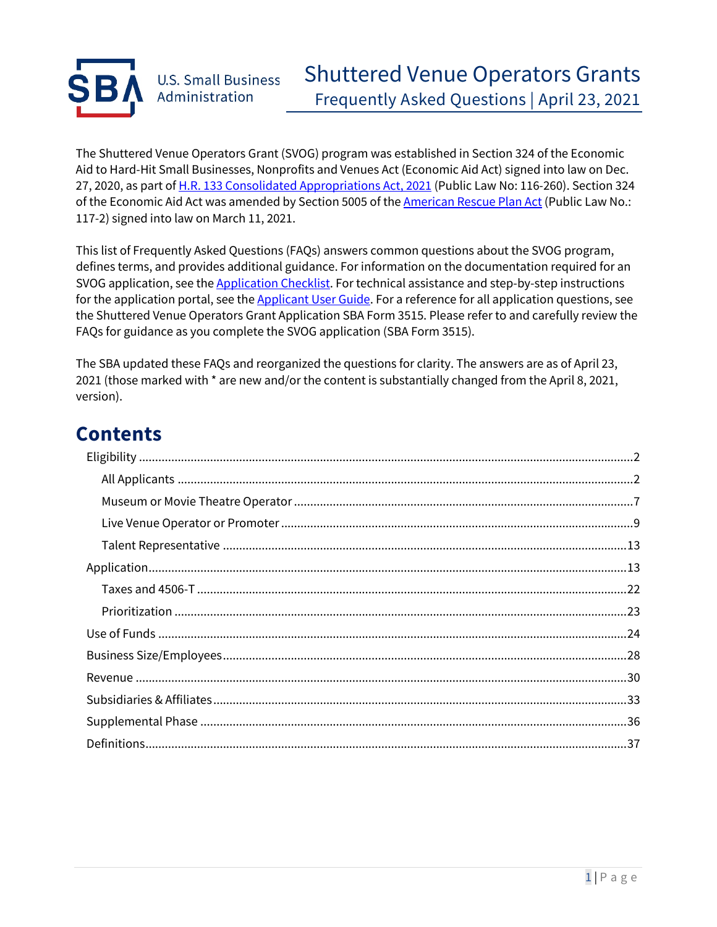

The Shuttered Venue Operators Grant (SVOG) program was established in Section 324 of the Economic Aid to Hard-Hit Small Businesses, Nonprofits and Venues Act (Economic Aid Act) signed into law on Dec. 27, 2020, as part of H.R. 133 Consolidated Appropriations Act, 2021 (Public Law No: 116-260). Section 324 of the Economic Aid Act was amended by Section 5005 of the **American Rescue Plan Act** (Public Law No.: 117-2) signed into law on March 11, 2021.

This list of Frequently Asked Questions (FAQs) answers common questions about the SVOG program, defines terms, and provides additional guidance. For information on the documentation required for an SVOG application, see the **Application Checklist**. For technical assistance and step-by-step instructions for the application portal, see the Applicant User Guide. For a reference for all application questions, see the Shuttered Venue Operators Grant Application SBA Form 3515. Please refer to and carefully review the FAQs for guidance as you complete the SVOG application (SBA Form 3515).

The SBA updated these FAQs and reorganized the questions for clarity. The answers are as of April 23, 2021 (those marked with \* are new and/or the content is substantially changed from the April 8, 2021, version).

# **Contents**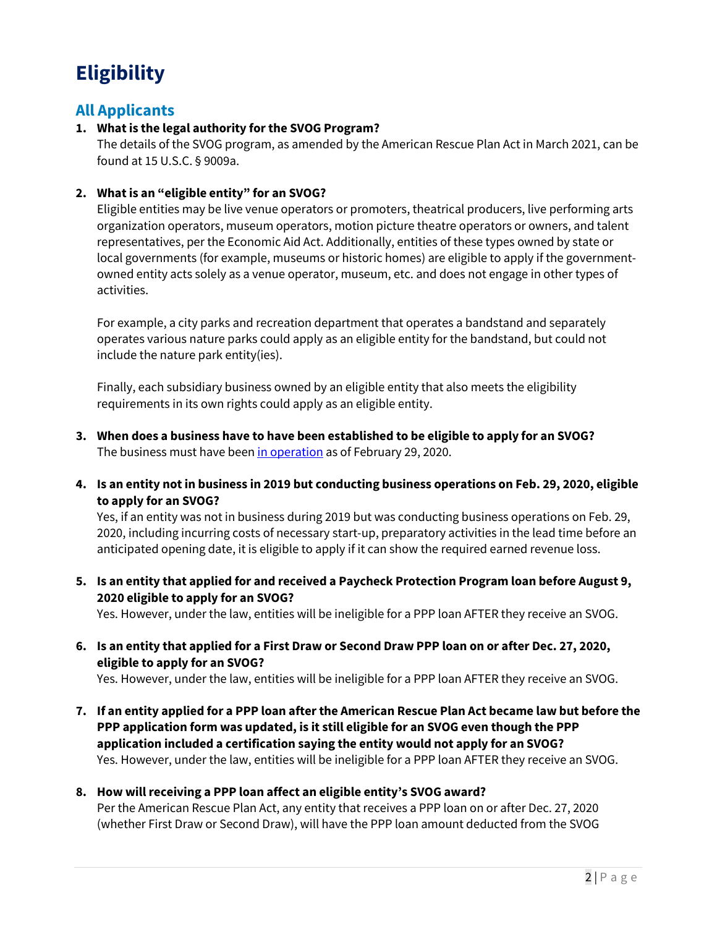# **Eligibility**

# **All Applicants**

# **1. What is the legal authority for the SVOG Program?**

The details of the SVOG program, as amended by the American Rescue Plan Act in March 2021, can be found at 15 U.S.C. § 9009a.

# **2. What is an "eligible entity" for an SVOG?**

Eligible entities may be live venue operators or promoters, theatrical producers, live performing arts organization operators, museum operators, motion picture theatre operators or owners, and talent representatives, per the Economic Aid Act. Additionally, entities of these types owned by state or local governments (for example, museums or historic homes) are eligible to apply if the governmentowned entity acts solely as a venue operator, museum, etc. and does not engage in other types of activities.

For example, a city parks and recreation department that operates a bandstand and separately operates various nature parks could apply as an eligible entity for the bandstand, but could not include the nature park entity(ies).

Finally, each subsidiary business owned by an eligible entity that also meets the eligibility requirements in its own rights could apply as an eligible entity.

- **3. When does a business have to have been established to be eligible to apply for an SVOG?**  The business must have been in operation as of February 29, 2020.
- **4. Is an entity not in business in 2019 but conducting business operations on Feb. 29, 2020, eligible to apply for an SVOG?**

Yes, if an entity was not in business during 2019 but was conducting business operations on Feb. 29, 2020, including incurring costs of necessary start-up, preparatory activities in the lead time before an anticipated opening date, it is eligible to apply if it can show the required earned revenue loss.

**5. Is an entity that applied for and received a Paycheck Protection Program loan before August 9, 2020 eligible to apply for an SVOG?**

Yes. However, under the law, entities will be ineligible for a PPP loan AFTER they receive an SVOG.

**6. Is an entity that applied for a First Draw or Second Draw PPP loan on or after Dec. 27, 2020, eligible to apply for an SVOG?** 

Yes. However, under the law, entities will be ineligible for a PPP loan AFTER they receive an SVOG.

**7. If an entity applied for a PPP loan after the American Rescue Plan Act became law but before the PPP application form was updated, is it still eligible for an SVOG even though the PPP application included a certification saying the entity would not apply for an SVOG?** Yes. However, under the law, entities will be ineligible for a PPP loan AFTER they receive an SVOG.

# **8. How will receiving a PPP loan affect an eligible entity's SVOG award?**

Per the American Rescue Plan Act, any entity that receives a PPP loan on or after Dec. 27, 2020 (whether First Draw or Second Draw), will have the PPP loan amount deducted from the SVOG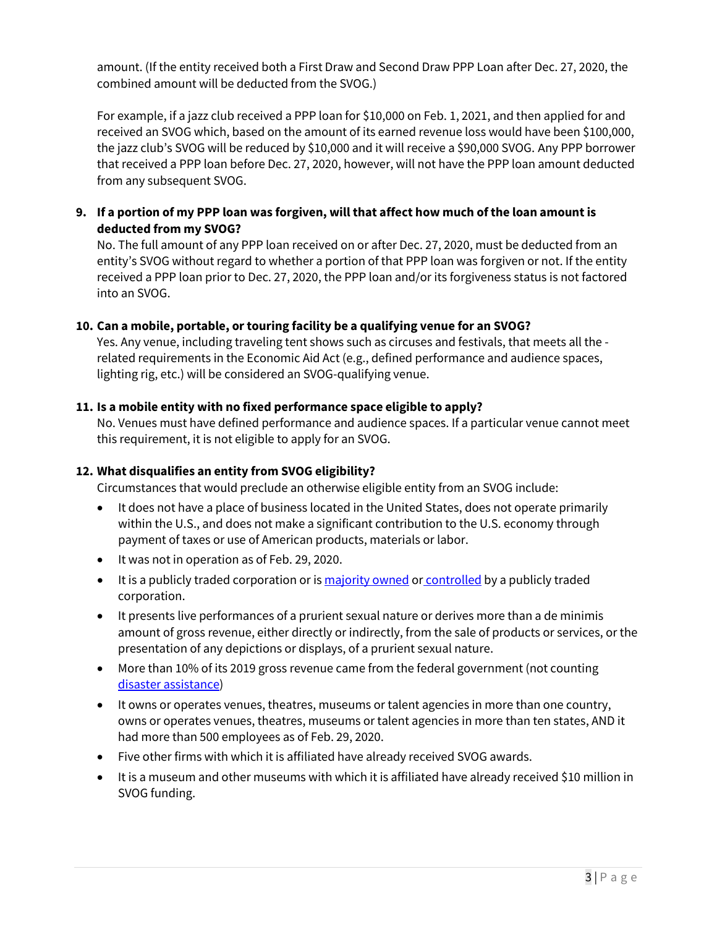amount. (If the entity received both a First Draw and Second Draw PPP Loan after Dec. 27, 2020, the combined amount will be deducted from the SVOG.)

For example, if a jazz club received a PPP loan for \$10,000 on Feb. 1, 2021, and then applied for and received an SVOG which, based on the amount of its earned revenue loss would have been \$100,000, the jazz club's SVOG will be reduced by \$10,000 and it will receive a \$90,000 SVOG. Any PPP borrower that received a PPP loan before Dec. 27, 2020, however, will not have the PPP loan amount deducted from any subsequent SVOG.

# **9. If a portion of my PPP loan was forgiven, will that affect how much ofthe loan amount is deducted from my SVOG?**

No. The full amount of any PPP loan received on or after Dec. 27, 2020, must be deducted from an entity's SVOG without regard to whether a portion of that PPP loan was forgiven or not. If the entity received a PPP loan prior to Dec. 27, 2020, the PPP loan and/or its forgiveness status is not factored into an SVOG.

# **10. Can a mobile, portable, or touring facility be a qualifying venue for an SVOG?**

Yes. Any venue, including traveling tent shows such as circuses and festivals, that meets all the related requirements in the Economic Aid Act (e.g., defined performance and audience spaces, lighting rig, etc.) will be considered an SVOG-qualifying venue.

#### **11. Is a mobile entity with no fixed performance space eligible to apply?**

No. Venues must have defined performance and audience spaces. If a particular venue cannot meet this requirement, it is not eligible to apply for an SVOG.

### **12. What disqualifies an entity from SVOG eligibility?**

Circumstances that would preclude an otherwise eligible entity from an SVOG include:

- It does not have a place of business located in the United States, does not operate primarily within the U.S., and does not make a significant contribution to the U.S. economy through payment of taxes or use of American products, materials or labor.
- It was not in operation as of Feb. 29, 2020.
- It is a publicly traded corporation or is majority owned or controlled by a publicly traded corporation.
- It presents live performances of a prurient sexual nature or derives more than a de minimis amount of gross revenue, either directly or indirectly, from the sale of products or services, or the presentation of any depictions or displays, of a prurient sexual nature.
- More than 10% of its 2019 gross revenue came from the federal government (not counting disaster assistance)
- It owns or operates venues, theatres, museums or talent agencies in more than one country, owns or operates venues, theatres, museums or talent agencies in more than ten states, AND it had more than 500 employees as of Feb. 29, 2020.
- Five other firms with which it is affiliated have already received SVOG awards.
- It is a museum and other museums with which it is affiliated have already received \$10 million in SVOG funding.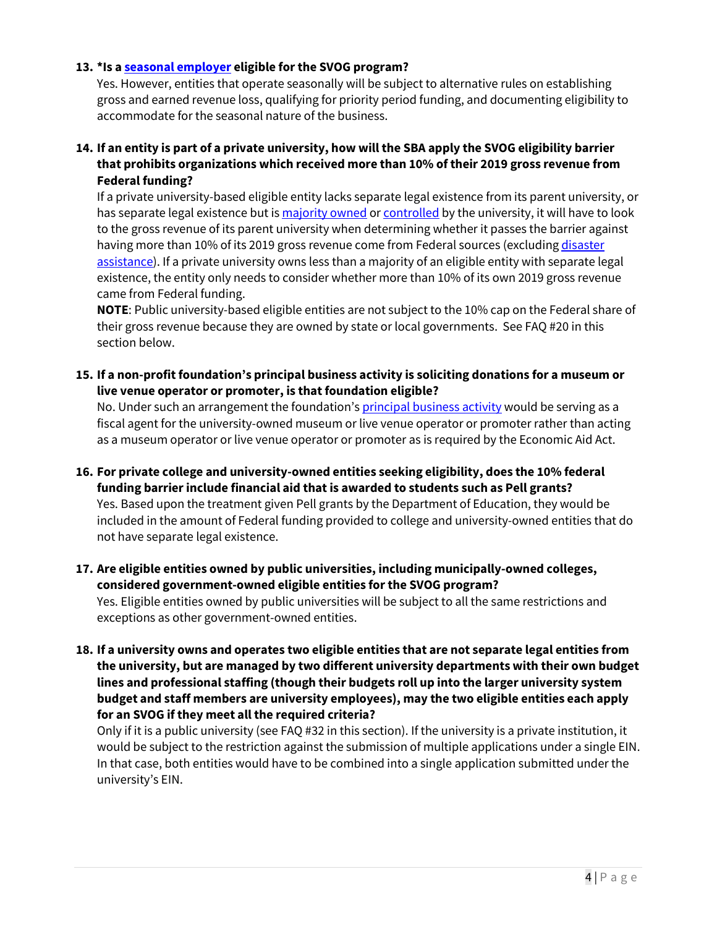#### **13. \*Is a seasonal employer eligible for the SVOG program?**

Yes. However, entities that operate seasonally will be subject to alternative rules on establishing gross and earned revenue loss, qualifying for priority period funding, and documenting eligibility to accommodate for the seasonal nature of the business.

**14. If an entity is part of a private university, how will the SBA apply the SVOG eligibility barrier that prohibits organizations which received more than 10% of their 2019 gross revenue from Federal funding?**

If a private university-based eligible entity lacks separate legal existence from its parent university, or has separate legal existence but is majority owned or controlled by the university, it will have to look to the gross revenue of its parent university when determining whether it passes the barrier against having more than 10% of its 2019 gross revenue come from Federal sources (excluding disaster assistance). If a private university owns less than a majority of an eligible entity with separate legal existence, the entity only needs to consider whether more than 10% of its own 2019 gross revenue came from Federal funding.

**NOTE**: Public university-based eligible entities are not subject to the 10% cap on the Federal share of their gross revenue because they are owned by state or local governments. See FAQ #20 in this section below.

**15. If a non-profit foundation's principal business activity is soliciting donations for a museum or live venue operator or promoter, is that foundation eligible?** 

No. Under such an arrangement the foundation's principal business activity would be serving as a fiscal agent for the university-owned museum or live venue operator or promoter rather than acting as a museum operator or live venue operator or promoter as is required by the Economic Aid Act.

- **16. For private college and university-owned entities seeking eligibility, does the 10% federal funding barrier include financial aid that is awarded to students such as Pell grants?**  Yes. Based upon the treatment given Pell grants by the Department of Education, they would be included in the amount of Federal funding provided to college and university-owned entities that do not have separate legal existence.
- **17. Are eligible entities owned by public universities, including municipally-owned colleges, considered government-owned eligible entities for the SVOG program?** Yes. Eligible entities owned by public universities will be subject to all the same restrictions and exceptions as other government-owned entities.
- **18. If a university owns and operates two eligible entities that are not separate legal entities from the university, but are managed by two different university departments with their own budget lines and professional staffing (though their budgets roll up into the larger university system budget and staff members are university employees), may the two eligible entities each apply for an SVOG if they meet all the required criteria?**

Only if it is a public university (see FAQ #32 in this section). If the university is a private institution, it would be subject to the restriction against the submission of multiple applications under a single EIN. In that case, both entities would have to be combined into a single application submitted under the university's EIN.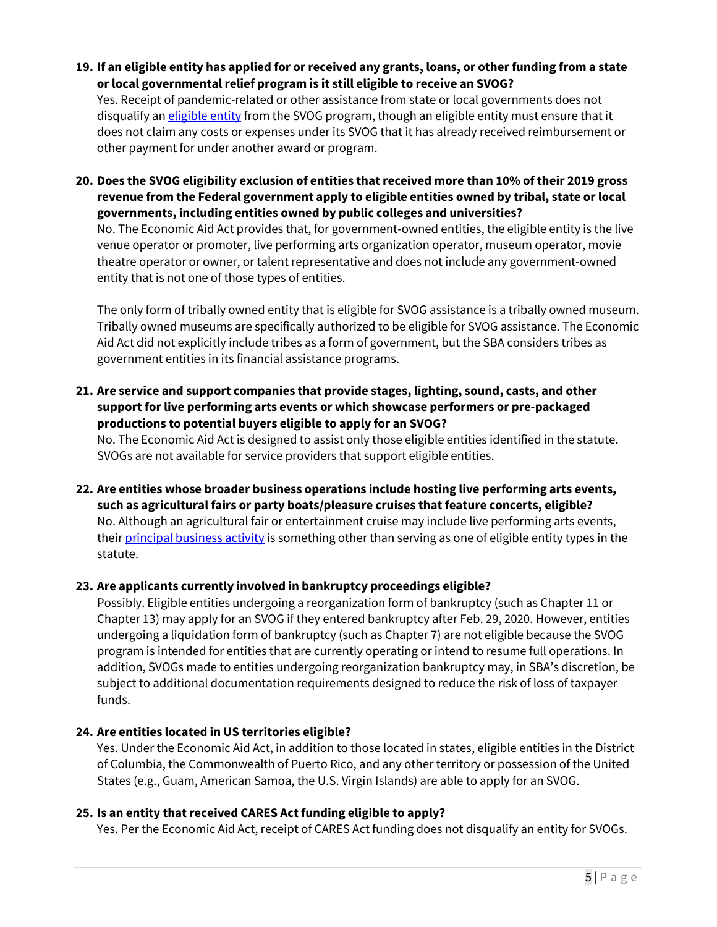- **19. If an eligible entity has applied for or received any grants, loans, or other funding from a state or local governmental relief program is it still eligible to receive an SVOG?** Yes. Receipt of pandemic-related or other assistance from state or local governments does not disqualify an *eligible entity* from the SVOG program, though an eligible entity must ensure that it does not claim any costs or expenses under its SVOG that it has already received reimbursement or other payment for under another award or program.
- **20. Does the SVOG eligibility exclusion of entities that received more than 10% of their 2019 gross revenue from the Federal government apply to eligible entities owned by tribal, state or local governments, including entities owned by public colleges and universities?**

No. The Economic Aid Act provides that, for government-owned entities, the eligible entity is the live venue operator or promoter, live performing arts organization operator, museum operator, movie theatre operator or owner, or talent representative and does not include any government-owned entity that is not one of those types of entities.

The only form of tribally owned entity that is eligible for SVOG assistance is a tribally owned museum. Tribally owned museums are specifically authorized to be eligible for SVOG assistance. The Economic Aid Act did not explicitly include tribes as a form of government, but the SBA considers tribes as government entities in its financial assistance programs.

**21. Are service and support companies that provide stages, lighting, sound, casts, and other support for live performing arts events or which showcase performers or pre-packaged productions to potential buyers eligible to apply for an SVOG?**

No. The Economic Aid Act is designed to assist only those eligible entities identified in the statute. SVOGs are not available for service providers that support eligible entities.

**22. Are entities whose broader business operations include hosting live performing arts events, such as agricultural fairs or party boats/pleasure cruises that feature concerts, eligible?** No. Although an agricultural fair or entertainment cruise may include live performing arts events, their principal business activity is something other than serving as one of eligible entity types in the statute.

#### **23. Are applicants currently involved in bankruptcy proceedings eligible?**

Possibly. Eligible entities undergoing a reorganization form of bankruptcy (such as Chapter 11 or Chapter 13) may apply for an SVOG if they entered bankruptcy after Feb. 29, 2020. However, entities undergoing a liquidation form of bankruptcy (such as Chapter 7) are not eligible because the SVOG program is intended for entities that are currently operating or intend to resume full operations. In addition, SVOGs made to entities undergoing reorganization bankruptcy may, in SBA's discretion, be subject to additional documentation requirements designed to reduce the risk of loss of taxpayer funds.

#### **24. Are entities located in US territories eligible?**

Yes. Under the Economic Aid Act, in addition to those located in states, eligible entities in the District of Columbia, the Commonwealth of Puerto Rico, and any other territory or possession of the United States (e.g., Guam, American Samoa, the U.S. Virgin Islands) are able to apply for an SVOG.

#### **25. Is an entity that received CARES Act funding eligible to apply?**

Yes. Per the Economic Aid Act, receipt of CARES Act funding does not disqualify an entity for SVOGs.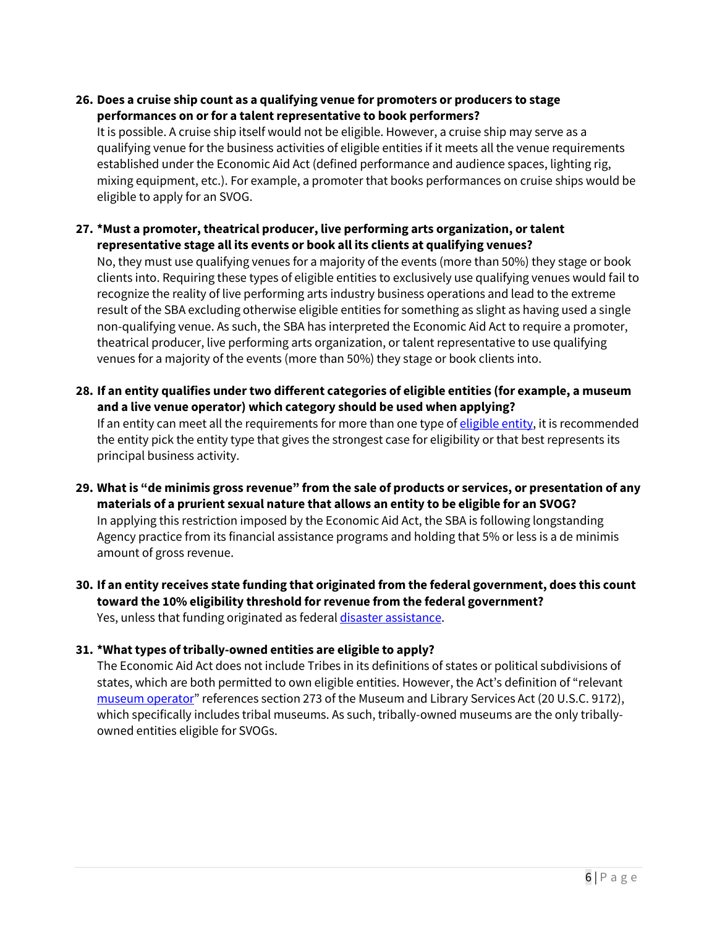# **26. Does a cruise ship count as a qualifying venue for promoters or producers to stage performances on or for a talent representative to book performers?**

It is possible. A cruise ship itself would not be eligible. However, a cruise ship may serve as a qualifying venue for the business activities of eligible entities if it meets all the venue requirements established under the Economic Aid Act (defined performance and audience spaces, lighting rig, mixing equipment, etc.). For example, a promoter that books performances on cruise ships would be eligible to apply for an SVOG.

# **27. \*Must a promoter, theatrical producer, live performing arts organization, or talent representative stage all its events or book all its clients at qualifying venues?**

No, they must use qualifying venues for a majority of the events (more than 50%) they stage or book clients into. Requiring these types of eligible entities to exclusively use qualifying venues would fail to recognize the reality of live performing arts industry business operations and lead to the extreme result of the SBA excluding otherwise eligible entities for something as slight as having used a single non-qualifying venue. As such, the SBA has interpreted the Economic Aid Act to require a promoter, theatrical producer, live performing arts organization, or talent representative to use qualifying venues for a majority of the events (more than 50%) they stage or book clients into.

- **28. If an entity qualifies under two different categories of eligible entities (for example, a museum and a live venue operator) which category should be used when applying?** If an entity can meet all the requirements for more than one type of eligible entity, it is recommended the entity pick the entity type that gives the strongest case for eligibility or that best represents its principal business activity.
- **29. What is "de minimis gross revenue" from the sale of products or services, or presentation of any materials of a prurient sexual nature that allows an entity to be eligible for an SVOG?**

In applying this restriction imposed by the Economic Aid Act, the SBA is following longstanding Agency practice from its financial assistance programs and holding that 5% or less is a de minimis amount of gross revenue.

**30. If an entity receives state funding that originated from the federal government, does this count toward the 10% eligibility threshold for revenue from the federal government?** Yes, unless that funding originated as federal disaster assistance.

# **31. \*What types of tribally-owned entities are eligible to apply?**

The Economic Aid Act does not include Tribes in its definitions of states or political subdivisions of states, which are both permitted to own eligible entities. However, the Act's definition of "relevant museum operator" references section 273 of the Museum and Library Services Act (20 U.S.C. 9172), which specifically includes tribal museums. As such, tribally-owned museums are the only triballyowned entities eligible for SVOGs.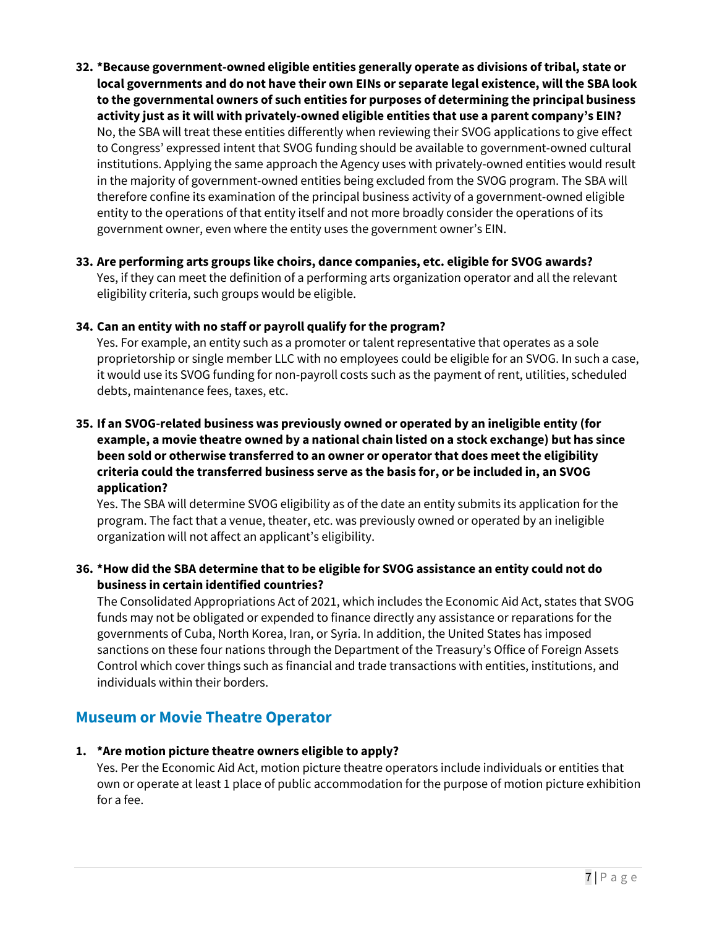**32. \*Because government-owned eligible entities generally operate as divisions of tribal, state or local governments and do not have their own EINs or separate legal existence, will the SBA look to the governmental owners of such entities for purposes of determining the principal business activity just as it will with privately-owned eligible entities that use a parent company's EIN?** No, the SBA will treat these entities differently when reviewing their SVOG applications to give effect to Congress' expressed intent that SVOG funding should be available to government-owned cultural institutions. Applying the same approach the Agency uses with privately-owned entities would result in the majority of government-owned entities being excluded from the SVOG program. The SBA will therefore confine its examination of the principal business activity of a government-owned eligible entity to the operations of that entity itself and not more broadly consider the operations of its government owner, even where the entity uses the government owner's EIN.

#### **33. Are performing arts groups like choirs, dance companies, etc. eligible for SVOG awards?** Yes, if they can meet the definition of a performing arts organization operator and all the relevant eligibility criteria, such groups would be eligible.

# **34. Can an entity with no staff or payroll qualify for the program?**

Yes. For example, an entity such as a promoter or talent representative that operates as a sole proprietorship or single member LLC with no employees could be eligible for an SVOG. In such a case, it would use its SVOG funding for non-payroll costs such as the payment of rent, utilities, scheduled debts, maintenance fees, taxes, etc.

# **35. If an SVOG-related business was previously owned or operated by an ineligible entity (for example, a movie theatre owned by a national chain listed on a stock exchange) but has since been sold or otherwise transferred to an owner or operator that does meet the eligibility criteria could the transferred business serve as the basis for, or be included in, an SVOG application?**

Yes. The SBA will determine SVOG eligibility as of the date an entity submits its application for the program. The fact that a venue, theater, etc. was previously owned or operated by an ineligible organization will not affect an applicant's eligibility.

# **36. \*How did the SBA determine that to be eligible for SVOG assistance an entity could not do business in certain identified countries?**

The Consolidated Appropriations Act of 2021, which includes the Economic Aid Act, states that SVOG funds may not be obligated or expended to finance directly any assistance or reparations for the governments of Cuba, North Korea, Iran, or Syria. In addition, the United States has imposed sanctions on these four nations through the Department of the Treasury's Office of Foreign Assets Control which cover things such as financial and trade transactions with entities, institutions, and individuals within their borders.

# **Museum or Movie Theatre Operator**

# **1. \*Are motion picture theatre owners eligible to apply?**

Yes. Per the Economic Aid Act, motion picture theatre operators include individuals or entities that own or operate at least 1 place of public accommodation for the purpose of motion picture exhibition for a fee.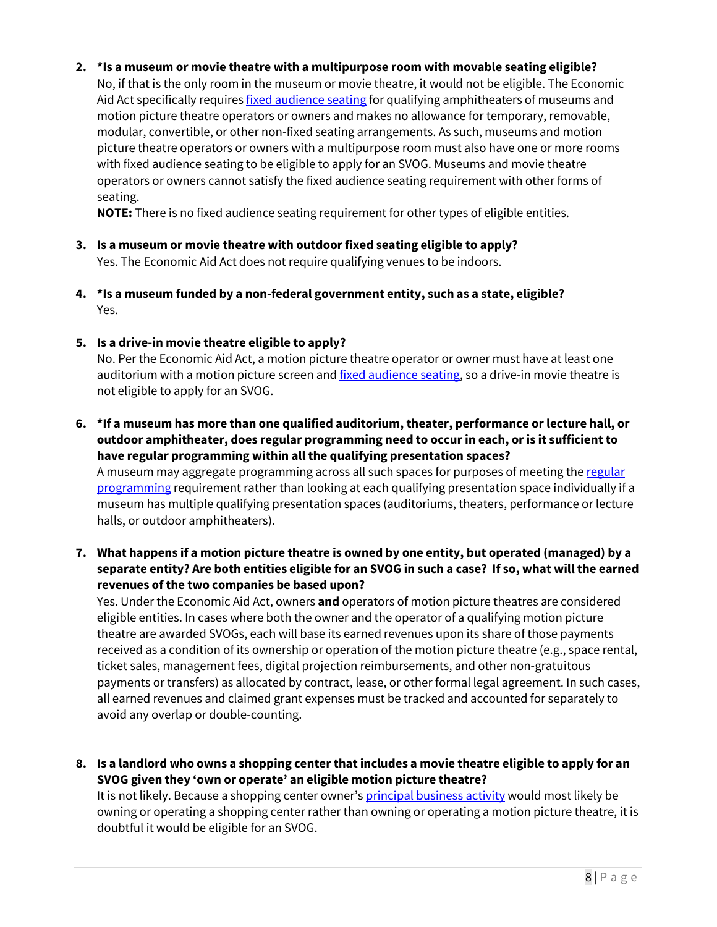#### **2. \*Is a museum or movie theatre with a multipurpose room with movable seating eligible?**

No, if that is the only room in the museum or movie theatre, it would not be eligible. The Economic Aid Act specifically requires fixed audience seating for qualifying amphitheaters of museums and motion picture theatre operators or owners and makes no allowance for temporary, removable, modular, convertible, or other non-fixed seating arrangements. As such, museums and motion picture theatre operators or owners with a multipurpose room must also have one or more rooms with fixed audience seating to be eligible to apply for an SVOG. Museums and movie theatre operators or owners cannot satisfy the fixed audience seating requirement with other forms of seating.

**NOTE:** There is no fixed audience seating requirement for other types of eligible entities.

- **3. Is a museum or movie theatre with outdoor fixed seating eligible to apply?**  Yes. The Economic Aid Act does not require qualifying venues to be indoors.
- **4. \*Is a museum funded by a non-federal government entity, such as a state, eligible?** Yes.
- **5. Is a drive-in movie theatre eligible to apply?**

No. Per the Economic Aid Act, a motion picture theatre operator or owner must have at least one auditorium with a motion picture screen and fixed audience seating, so a drive-in movie theatre is not eligible to apply for an SVOG.

**6. \*If a museum has more than one qualified auditorium, theater, performance or lecture hall, or outdoor amphitheater, does regular programming need to occur in each, or is it sufficient to have regular programming within all the qualifying presentation spaces?** 

A museum may aggregate programming across all such spaces for purposes of meeting the regular programming requirement rather than looking at each qualifying presentation space individually if a museum has multiple qualifying presentation spaces (auditoriums, theaters, performance or lecture halls, or outdoor amphitheaters).

**7. What happens if a motion picture theatre is owned by one entity, but operated (managed) by a separate entity? Are both entities eligible for an SVOG in such a case? If so, what will the earned revenues of the two companies be based upon?** 

Yes. Under the Economic Aid Act, owners **and** operators of motion picture theatres are considered eligible entities. In cases where both the owner and the operator of a qualifying motion picture theatre are awarded SVOGs, each will base its earned revenues upon its share of those payments received as a condition of its ownership or operation of the motion picture theatre (e.g., space rental, ticket sales, management fees, digital projection reimbursements, and other non-gratuitous payments or transfers) as allocated by contract, lease, or other formal legal agreement. In such cases, all earned revenues and claimed grant expenses must be tracked and accounted for separately to avoid any overlap or double-counting.

**8. Is a landlord who owns a shopping center that includes a movie theatre eligible to apply for an SVOG given they 'own or operate' an eligible motion picture theatre?** 

It is not likely. Because a shopping center owner's *principal business activity* would most likely be owning or operating a shopping center rather than owning or operating a motion picture theatre, it is doubtful it would be eligible for an SVOG.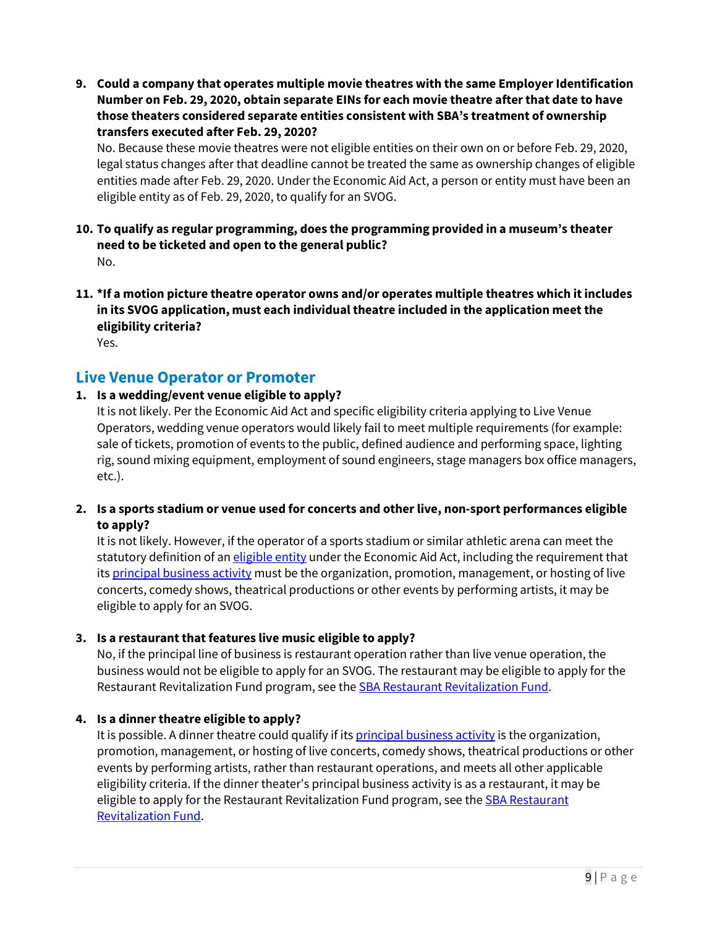**9. Could a company that operates multiple movie theatres with the same Employer Identification Number on Feb. 29, 2020, obtain separate EINs for each movie theatre after that date to have those theaters considered separate entities consistent with SBA's treatment of ownership transfers executed after Feb. 29, 2020?**

No. Because these movie theatres were not eligible entities on their own on or before Feb. 29, 2020, legal status changes after that deadline cannot be treated the same as ownership changes of eligible entities made after Feb. 29, 2020. Under the Economic Aid Act, a person or entity must have been an eligible entity as of Feb. 29, 2020, to qualify for an SVOG.

- **10. To qualify as regular programming, does the programming provided in a museum's theater need to be ticketed and open to the general public?**  No.
- **11. \*If a motion picture theatre operator owns and/or operates multiple theatres which it includes in its SVOG application, must each individual theatre included in the application meet the eligibility criteria?** Yes.

# **Live Venue Operator or Promoter**

# **1. Is a wedding/event venue eligible to apply?**

It is not likely. Per the Economic Aid Act and specific eligibility criteria applying to Live Venue Operators, wedding venue operators would likely fail to meet multiple requirements (for example: sale of tickets, promotion of events to the public, defined audience and performing space, lighting rig, sound mixing equipment, employment of sound engineers, stage managers box office managers, etc.).

**2. Is a sports stadium or venue used for concerts and other live, non-sport performances eligible to apply?**

It is not likely. However, if the operator of a sports stadium or similar athletic arena can meet the statutory definition of an eligible entity under the Economic Aid Act, including the requirement that its principal business activity must be the organization, promotion, management, or hosting of live concerts, comedy shows, theatrical productions or other events by performing artists, it may be eligible to apply for an SVOG.

#### **3. Is a restaurant that features live music eligible to apply?**

No, if the principal line of business is restaurant operation rather than live venue operation, the business would not be eligible to apply for an SVOG. The restaurant may be eligible to apply for the Restaurant Revitalization Fund program, see the **SBA Restaurant Revitalization Fund.** 

#### **4. Is a dinner theatre eligible to apply?**

It is possible. A dinner theatre could qualify if its principal business activity is the organization, promotion, management, or hosting of live concerts, comedy shows, theatrical productions or other events by performing artists, rather than restaurant operations, and meets all other applicable eligibility criteria. If the dinner theater's principal business activity is as a restaurant, it may be eligible to apply for the Restaurant Revitalization Fund program, see the SBA Restaurant Revitalization Fund.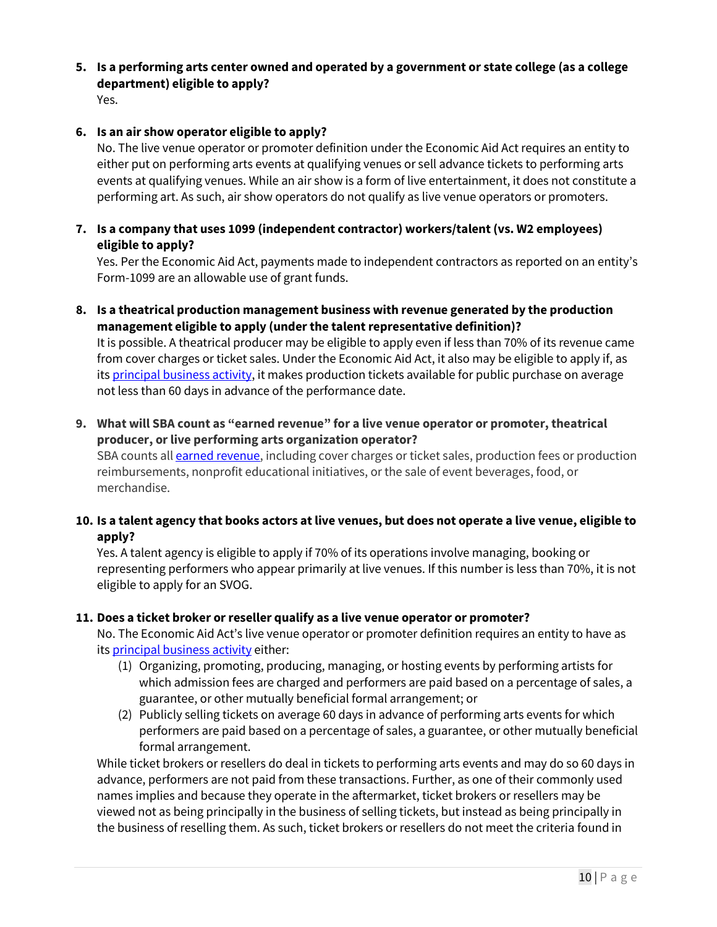**5. Is a performing arts center owned and operated by a government or state college (as a college department) eligible to apply?**

Yes.

### **6. Is an air show operator eligible to apply?**

No. The live venue operator or promoter definition under the Economic Aid Act requires an entity to either put on performing arts events at qualifying venues or sell advance tickets to performing arts events at qualifying venues. While an air show is a form of live entertainment, it does not constitute a performing art. As such, air show operators do not qualify as live venue operators or promoters.

**7. Is a company that uses 1099 (independent contractor) workers/talent (vs. W2 employees) eligible to apply?** 

Yes. Per the Economic Aid Act, payments made to independent contractors as reported on an entity's Form-1099 are an allowable use of grant funds.

**8. Is a theatrical production management business with revenue generated by the production management eligible to apply (under the talent representative definition)?**  It is possible. A theatrical producer may be eligible to apply even if less than 70% of its revenue came

from cover charges or ticket sales. Under the Economic Aid Act, it also may be eligible to apply if, as its principal business activity, it makes production tickets available for public purchase on average not less than 60 days in advance of the performance date.

**9. What will SBA count as "earned revenue" for a live venue operator or promoter, theatrical producer, or live performing arts organization operator?**

SBA counts all **earned revenue**, including cover charges or ticket sales, production fees or production reimbursements, nonprofit educational initiatives, or the sale of event beverages, food, or merchandise.

**10. Is a talent agency that books actors at live venues, but does not operate a live venue, eligible to apply?**

Yes. A talent agency is eligible to apply if 70% of its operations involve managing, booking or representing performers who appear primarily at live venues. If this number is less than 70%, it is not eligible to apply for an SVOG.

#### **11. Does a ticket broker or reseller qualify as a live venue operator or promoter?**

No. The Economic Aid Act's live venue operator or promoter definition requires an entity to have as its principal business activity either:

- (1) Organizing, promoting, producing, managing, or hosting events by performing artists for which admission fees are charged and performers are paid based on a percentage of sales, a guarantee, or other mutually beneficial formal arrangement; or
- (2) Publicly selling tickets on average 60 days in advance of performing arts events for which performers are paid based on a percentage of sales, a guarantee, or other mutually beneficial formal arrangement.

While ticket brokers or resellers do deal in tickets to performing arts events and may do so 60 days in advance, performers are not paid from these transactions. Further, as one of their commonly used names implies and because they operate in the aftermarket, ticket brokers or resellers may be viewed not as being principally in the business of selling tickets, but instead as being principally in the business of reselling them. As such, ticket brokers or resellers do not meet the criteria found in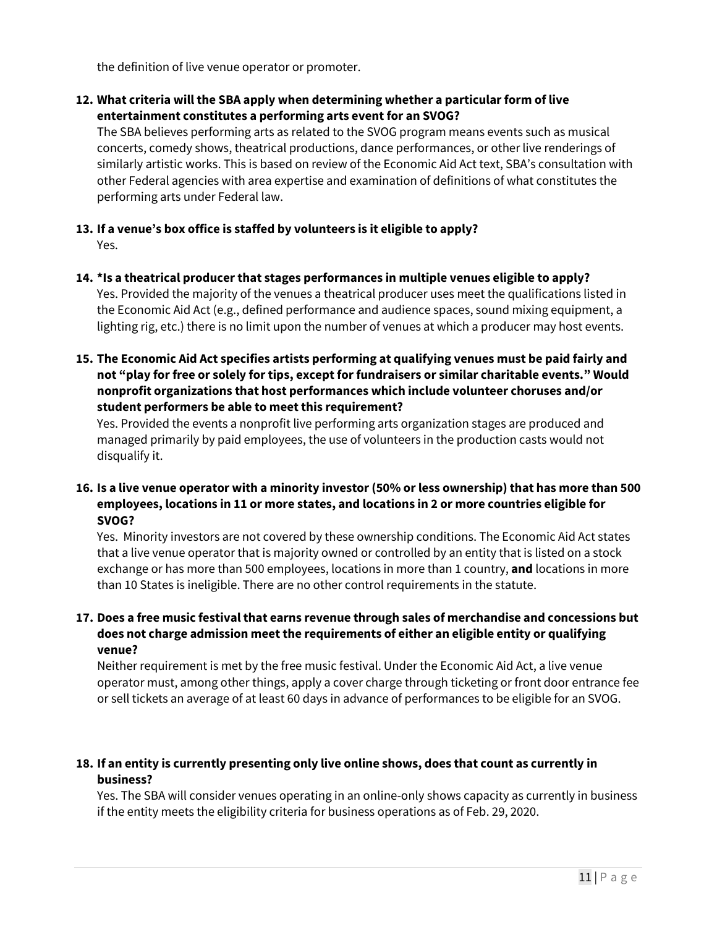the definition of live venue operator or promoter.

**12. What criteria will the SBA apply when determining whether a particular form of live entertainment constitutes a performing arts event for an SVOG?**

The SBA believes performing arts as related to the SVOG program means events such as musical concerts, comedy shows, theatrical productions, dance performances, or other live renderings of similarly artistic works. This is based on review of the Economic Aid Act text, SBA's consultation with other Federal agencies with area expertise and examination of definitions of what constitutes the performing arts under Federal law.

- **13. If a venue's box office is staffed by volunteers is it eligible to apply?**  Yes.
- **14. \*Is a theatrical producer that stages performances in multiple venues eligible to apply?** Yes. Provided the majority of the venues a theatrical producer uses meet the qualifications listed in the Economic Aid Act (e.g., defined performance and audience spaces, sound mixing equipment, a lighting rig, etc.) there is no limit upon the number of venues at which a producer may host events.
- **15. The Economic Aid Act specifies artists performing at qualifying venues must be paid fairly and not "play for free or solely for tips, except for fundraisers or similar charitable events." Would nonprofit organizations that host performances which include volunteer choruses and/or student performers be able to meet this requirement?**

Yes. Provided the events a nonprofit live performing arts organization stages are produced and managed primarily by paid employees, the use of volunteers in the production casts would not disqualify it.

**16. Is a live venue operator with a minority investor (50% or less ownership) that has more than 500 employees, locations in 11 or more states, and locations in 2 or more countries eligible for SVOG?** 

Yes. Minority investors are not covered by these ownership conditions. The Economic Aid Act states that a live venue operator that is majority owned or controlled by an entity that is listed on a stock exchange or has more than 500 employees, locations in more than 1 country, **and** locations in more than 10 States is ineligible. There are no other control requirements in the statute.

# **17. Does a free music festival that earns revenue through sales of merchandise and concessions but does not charge admission meet the requirements of either an eligible entity or qualifying venue?**

Neither requirement is met by the free music festival. Under the Economic Aid Act, a live venue operator must, among other things, apply a cover charge through ticketing or front door entrance fee or sell tickets an average of at least 60 days in advance of performances to be eligible for an SVOG.

# **18. If an entity is currently presenting only live online shows, does that count as currently in business?**

Yes. The SBA will consider venues operating in an online-only shows capacity as currently in business if the entity meets the eligibility criteria for business operations as of Feb. 29, 2020.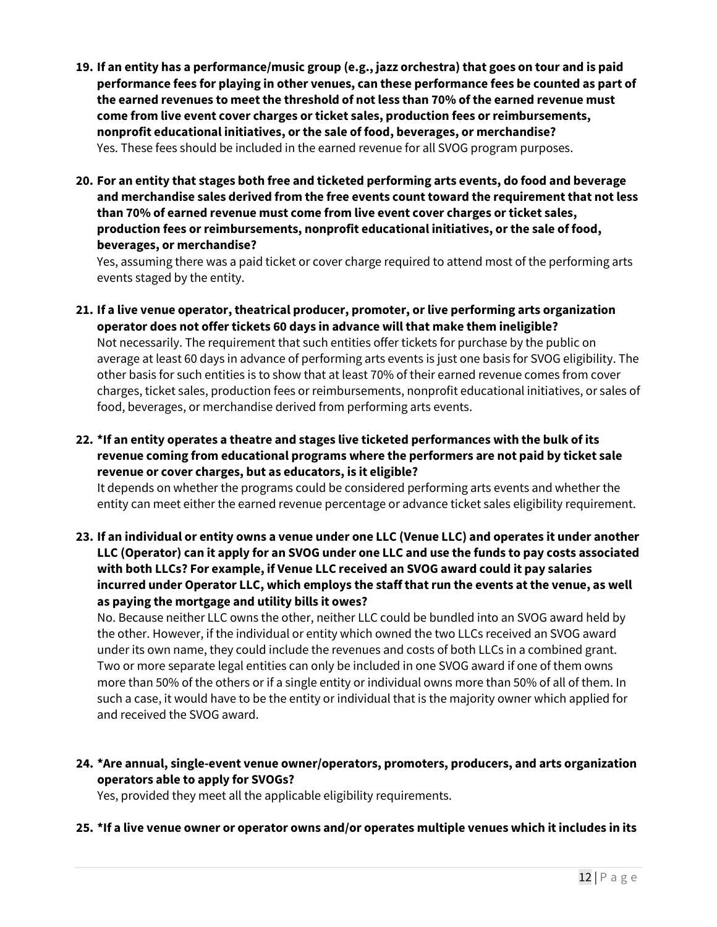- **19. If an entity has a performance/music group (e.g., jazz orchestra) that goes on tour and is paid performance fees for playing in other venues, can these performance fees be counted as part of the earned revenues to meet the threshold of not less than 70% of the earned revenue must come from live event cover charges or ticket sales, production fees or reimbursements, nonprofit educational initiatives, or the sale of food, beverages, or merchandise?** Yes. These fees should be included in the earned revenue for all SVOG program purposes.
- **20. For an entity that stages both free and ticketed performing arts events, do food and beverage and merchandise sales derived from the free events count toward the requirement that not less than 70% of earned revenue must come from live event cover charges or ticket sales, production fees or reimbursements, nonprofit educational initiatives, or the sale of food, beverages, or merchandise?**

Yes, assuming there was a paid ticket or cover charge required to attend most of the performing arts events staged by the entity.

- **21. If a live venue operator, theatrical producer, promoter, or live performing arts organization operator does not offer tickets 60 days in advance will that make them ineligible?** Not necessarily. The requirement that such entities offer tickets for purchase by the public on average at least 60 days in advance of performing arts events is just one basis for SVOG eligibility. The other basis for such entities is to show that at least 70% of their earned revenue comes from cover charges, ticket sales, production fees or reimbursements, nonprofit educational initiatives, or sales of food, beverages, or merchandise derived from performing arts events.
- **22. \*If an entity operates a theatre and stages live ticketed performances with the bulk of its revenue coming from educational programs where the performers are not paid by ticket sale revenue or cover charges, but as educators, is it eligible?**

It depends on whether the programs could be considered performing arts events and whether the entity can meet either the earned revenue percentage or advance ticket sales eligibility requirement.

**23. If an individual or entity owns a venue under one LLC (Venue LLC) and operates it under another LLC (Operator) can it apply for an SVOG under one LLC and use the funds to pay costs associated with both LLCs? For example, if Venue LLC received an SVOG award could it pay salaries incurred under Operator LLC, which employs the staff that run the events at the venue, as well as paying the mortgage and utility bills it owes?**

No. Because neither LLC owns the other, neither LLC could be bundled into an SVOG award held by the other. However, if the individual or entity which owned the two LLCs received an SVOG award under its own name, they could include the revenues and costs of both LLCs in a combined grant. Two or more separate legal entities can only be included in one SVOG award if one of them owns more than 50% of the others or if a single entity or individual owns more than 50% of all of them. In such a case, it would have to be the entity or individual that is the majority owner which applied for and received the SVOG award.

**24. \*Are annual, single-event venue owner/operators, promoters, producers, and arts organization operators able to apply for SVOGs?**

Yes, provided they meet all the applicable eligibility requirements.

**25. \*If a live venue owner or operator owns and/or operates multiple venues which it includes in its**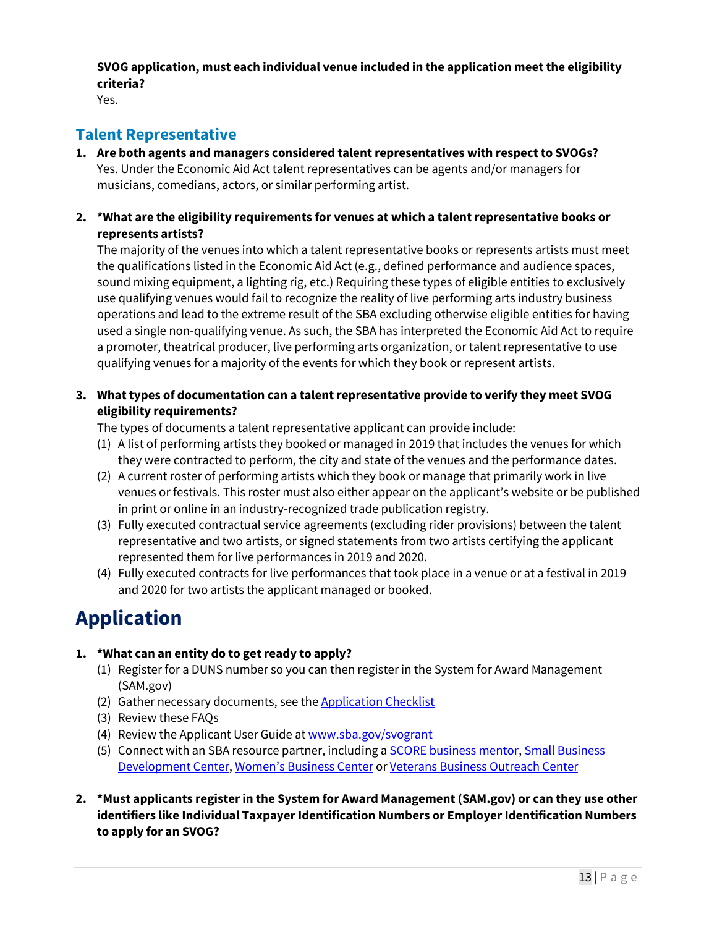**SVOG application, must each individual venue included in the application meet the eligibility criteria?**

Yes.

# **Talent Representative**

- **1. Are both agents and managers considered talent representatives with respect to SVOGs?** Yes. Under the Economic Aid Act talent representatives can be agents and/or managers for musicians, comedians, actors, or similar performing artist.
- **2. \*What are the eligibility requirements for venues at which a talent representative books or represents artists?**

The majority of the venues into which a talent representative books or represents artists must meet the qualifications listed in the Economic Aid Act (e.g., defined performance and audience spaces, sound mixing equipment, a lighting rig, etc.) Requiring these types of eligible entities to exclusively use qualifying venues would fail to recognize the reality of live performing arts industry business operations and lead to the extreme result of the SBA excluding otherwise eligible entities for having used a single non-qualifying venue. As such, the SBA has interpreted the Economic Aid Act to require a promoter, theatrical producer, live performing arts organization, or talent representative to use qualifying venues for a majority of the events for which they book or represent artists.

**3. What types of documentation can a talent representative provide to verify they meet SVOG eligibility requirements?**

The types of documents a talent representative applicant can provide include:

- (1) A list of performing artists they booked or managed in 2019 that includes the venues for which they were contracted to perform, the city and state of the venues and the performance dates.
- (2) A current roster of performing artists which they book or manage that primarily work in live venues or festivals. This roster must also either appear on the applicant's website or be published in print or online in an industry-recognized trade publication registry.
- (3) Fully executed contractual service agreements (excluding rider provisions) between the talent representative and two artists, or signed statements from two artists certifying the applicant represented them for live performances in 2019 and 2020.
- (4) Fully executed contracts for live performances that took place in a venue or at a festival in 2019 and 2020 for two artists the applicant managed or booked.

# **Application**

# **1. \*What can an entity do to get ready to apply?**

- (1) Register for a DUNS number so you can then register in the System for Award Management (SAM.gov)
- (2) Gather necessary documents, see the Application Checklist
- (3) Review these FAQs
- (4) Review the Applicant User Guide at www.sba.gov/svogrant
- (5) Connect with an SBA resource partner, including a SCORE business mentor, Small Business Development Center, Women's Business Center or Veterans Business Outreach Center
- **2. \*Must applicants register in the System for Award Management (SAM.gov) or can they use other identifiers like Individual Taxpayer Identification Numbers or Employer Identification Numbers to apply for an SVOG?**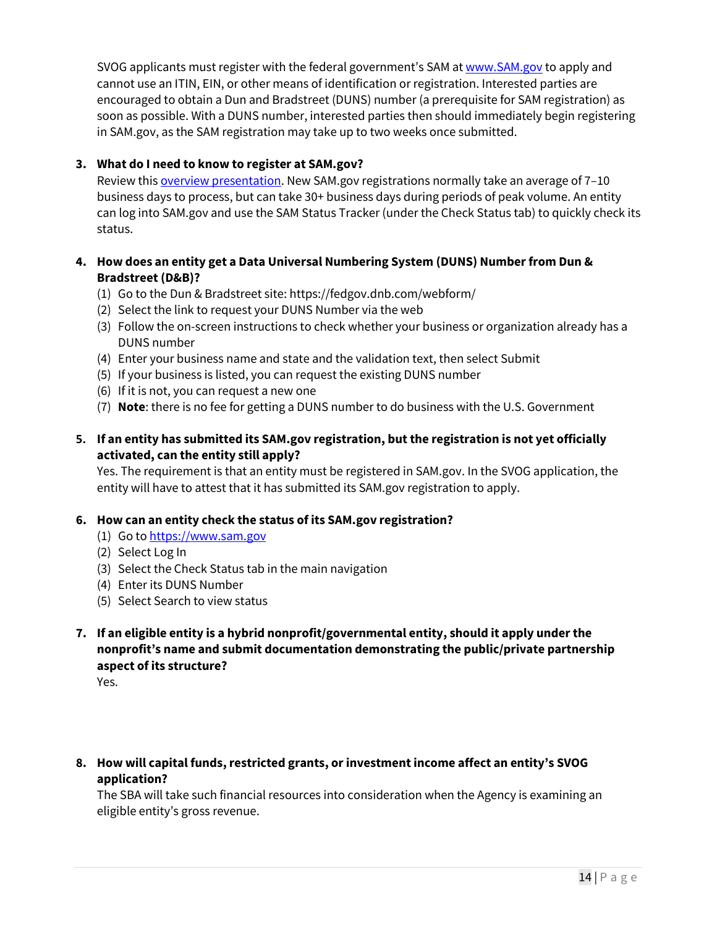SVOG applicants must register with the federal government's SAM at www.SAM.gov to apply and cannot use an ITIN, EIN, or other means of identification or registration. Interested parties are encouraged to obtain a Dun and Bradstreet (DUNS) number (a prerequisite for SAM registration) as soon as possible. With a DUNS number, interested parties then should immediately begin registering in SAM.gov, as the SAM registration may take up to two weeks once submitted.

# **3. What do I need to know to register at SAM.gov?**

Review this overview presentation. New SAM.gov registrations normally take an average of 7-10 business days to process, but can take 30+ business days during periods of peak volume. An entity can log into SAM.gov and use the SAM Status Tracker (under the Check Status tab) to quickly check its status.

# **4. How does an entity get a Data Universal Numbering System (DUNS) Number from Dun & Bradstreet (D&B)?**

- (1) Go to the Dun & Bradstreet site: https://fedgov.dnb.com/webform/
- (2) Select the link to request your DUNS Number via the web
- (3) Follow the on-screen instructions to check whether your business or organization already has a DUNS number
- (4) Enter your business name and state and the validation text, then select Submit
- (5) If your business is listed, you can request the existing DUNS number
- (6) If it is not, you can request a new one
- (7) **Note**: there is no fee for getting a DUNS number to do business with the U.S. Government

# **5. If an entity has submitted its SAM.gov registration, but the registration is not yet officially activated, can the entity still apply?**

Yes. The requirement is that an entity must be registered in SAM.gov. In the SVOG application, the entity will have to attest that it has submitted its SAM.gov registration to apply.

# **6. How can an entity check the status of its SAM.gov registration?**

- (1) Go to https://www.sam.gov
- (2) Select Log In
- (3) Select the Check Status tab in the main navigation
- (4) Enter its DUNS Number
- (5) Select Search to view status
- **7. If an eligible entity is a hybrid nonprofit/governmental entity, should it apply under the nonprofit's name and submit documentation demonstrating the public/private partnership aspect of its structure?**

Yes.

**8. How will capital funds, restricted grants, or investment income affect an entity's SVOG application?** 

The SBA will take such financial resources into consideration when the Agency is examining an eligible entity's gross revenue.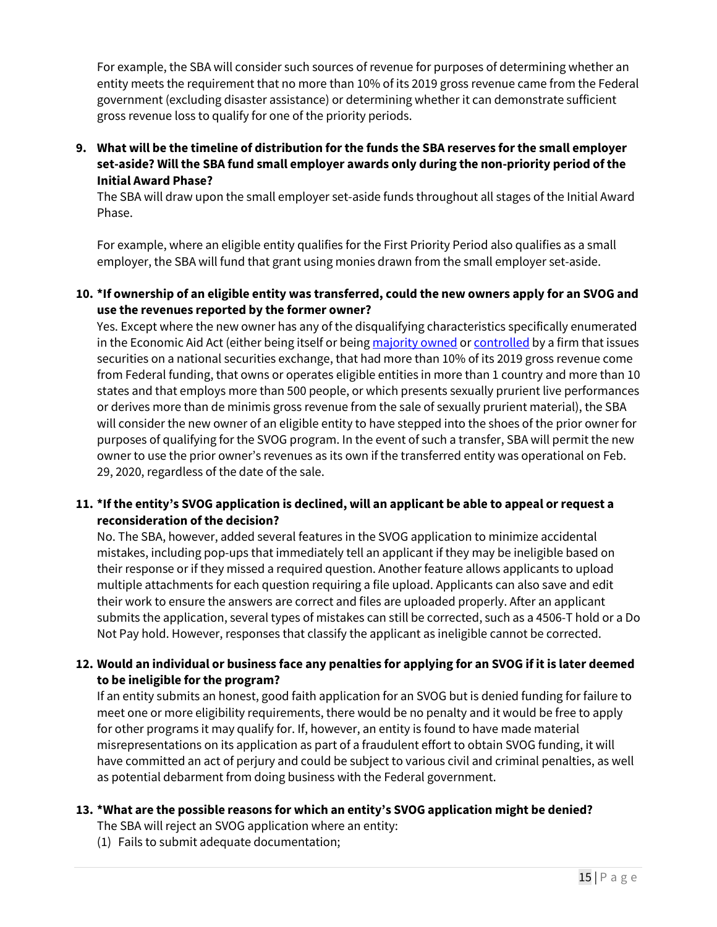For example, the SBA will consider such sources of revenue for purposes of determining whether an entity meets the requirement that no more than 10% of its 2019 gross revenue came from the Federal government (excluding disaster assistance) or determining whether it can demonstrate sufficient gross revenue loss to qualify for one of the priority periods.

**9. What will be the timeline of distribution for the funds the SBA reserves for the small employer set-aside? Will the SBA fund small employer awards only during the non-priority period of the Initial Award Phase?**

The SBA will draw upon the small employer set-aside funds throughout all stages of the Initial Award Phase.

For example, where an eligible entity qualifies for the First Priority Period also qualifies as a small employer, the SBA will fund that grant using monies drawn from the small employer set-aside.

### **10. \*If ownership of an eligible entity was transferred, could the new owners apply for an SVOG and use the revenues reported by the former owner?**

Yes. Except where the new owner has any of the disqualifying characteristics specifically enumerated in the Economic Aid Act (either being itself or being majority owned or controlled by a firm that issues securities on a national securities exchange, that had more than 10% of its 2019 gross revenue come from Federal funding, that owns or operates eligible entities in more than 1 country and more than 10 states and that employs more than 500 people, or which presents sexually prurient live performances or derives more than de minimis gross revenue from the sale of sexually prurient material), the SBA will consider the new owner of an eligible entity to have stepped into the shoes of the prior owner for purposes of qualifying for the SVOG program. In the event of such a transfer, SBA will permit the new owner to use the prior owner's revenues as its own if the transferred entity was operational on Feb. 29, 2020, regardless of the date of the sale.

# **11. \*If the entity's SVOG application is declined, will an applicant be able to appeal or request a reconsideration of the decision?**

No. The SBA, however, added several features in the SVOG application to minimize accidental mistakes, including pop-ups that immediately tell an applicant if they may be ineligible based on their response or if they missed a required question. Another feature allows applicants to upload multiple attachments for each question requiring a file upload. Applicants can also save and edit their work to ensure the answers are correct and files are uploaded properly. After an applicant submits the application, several types of mistakes can still be corrected, such as a 4506-T hold or a Do Not Pay hold. However, responses that classify the applicant as ineligible cannot be corrected.

# **12. Would an individual or business face any penalties for applying for an SVOG if it is later deemed to be ineligible for the program?**

If an entity submits an honest, good faith application for an SVOG but is denied funding for failure to meet one or more eligibility requirements, there would be no penalty and it would be free to apply for other programs it may qualify for. If, however, an entity is found to have made material misrepresentations on its application as part of a fraudulent effort to obtain SVOG funding, it will have committed an act of perjury and could be subject to various civil and criminal penalties, as well as potential debarment from doing business with the Federal government.

#### **13. \*What are the possible reasons for which an entity's SVOG application might be denied?**

- The SBA will reject an SVOG application where an entity:
- (1) Fails to submit adequate documentation;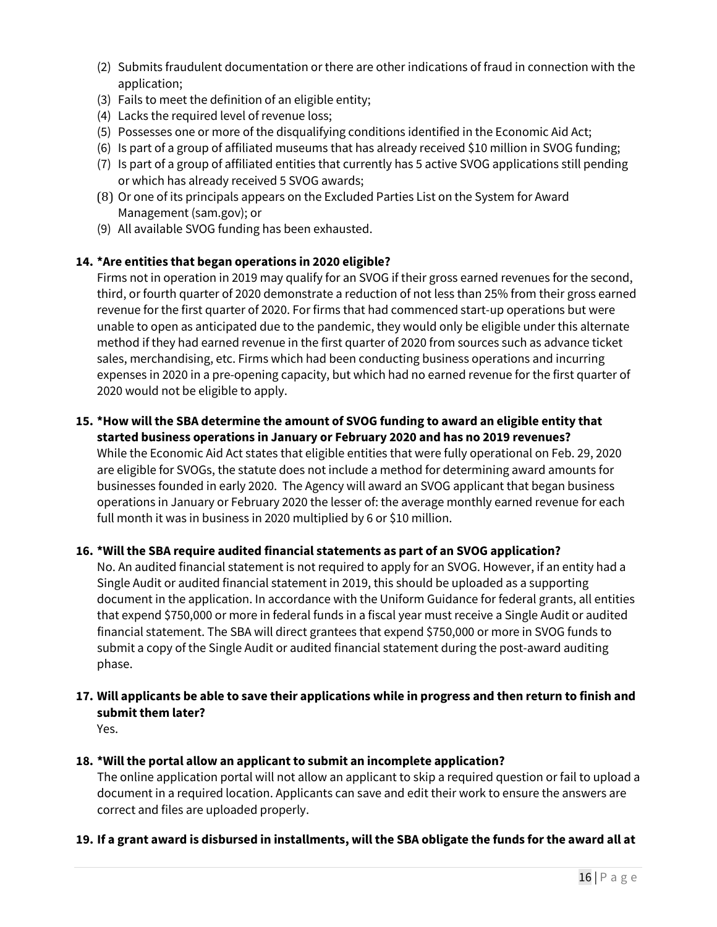- (2) Submits fraudulent documentation or there are other indications of fraud in connection with the application;
- (3) Fails to meet the definition of an eligible entity;
- (4) Lacks the required level of revenue loss;
- (5) Possesses one or more of the disqualifying conditions identified in the Economic Aid Act;
- (6) Is part of a group of affiliated museums that has already received \$10 million in SVOG funding;
- (7) Is part of a group of affiliated entities that currently has 5 active SVOG applications still pending or which has already received 5 SVOG awards;
- (8) Or one of its principals appears on the Excluded Parties List on the System for Award Management (sam.gov); or
- (9) All available SVOG funding has been exhausted.

# **14. \*Are entities that began operations in 2020 eligible?**

Firms not in operation in 2019 may qualify for an SVOG if their gross earned revenues for the second, third, or fourth quarter of 2020 demonstrate a reduction of not less than 25% from their gross earned revenue for the first quarter of 2020. For firms that had commenced start-up operations but were unable to open as anticipated due to the pandemic, they would only be eligible under this alternate method if they had earned revenue in the first quarter of 2020 from sources such as advance ticket sales, merchandising, etc. Firms which had been conducting business operations and incurring expenses in 2020 in a pre-opening capacity, but which had no earned revenue for the first quarter of 2020 would not be eligible to apply.

### **15. \*How will the SBA determine the amount of SVOG funding to award an eligible entity that started business operations in January or February 2020 and has no 2019 revenues?**

While the Economic Aid Act states that eligible entities that were fully operational on Feb. 29, 2020 are eligible for SVOGs, the statute does not include a method for determining award amounts for businesses founded in early 2020. The Agency will award an SVOG applicant that began business operations in January or February 2020 the lesser of: the average monthly earned revenue for each full month it was in business in 2020 multiplied by 6 or \$10 million.

# **16. \*Will the SBA require audited financial statements as part of an SVOG application?**

No. An audited financial statement is not required to apply for an SVOG. However, if an entity had a Single Audit or audited financial statement in 2019, this should be uploaded as a supporting document in the application. In accordance with the Uniform Guidance for federal grants, all entities that expend \$750,000 or more in federal funds in a fiscal year must receive a Single Audit or audited financial statement. The SBA will direct grantees that expend \$750,000 or more in SVOG funds to submit a copy of the Single Audit or audited financial statement during the post-award auditing phase.

#### **17. Will applicants be able to save their applications while in progress and then return to finish and submit them later?** Yes.

# **18. \*Will the portal allow an applicant to submit an incomplete application?**

The online application portal will not allow an applicant to skip a required question or fail to upload a document in a required location. Applicants can save and edit their work to ensure the answers are correct and files are uploaded properly.

# **19. If a grant award is disbursed in installments, will the SBA obligate the funds for the award all at**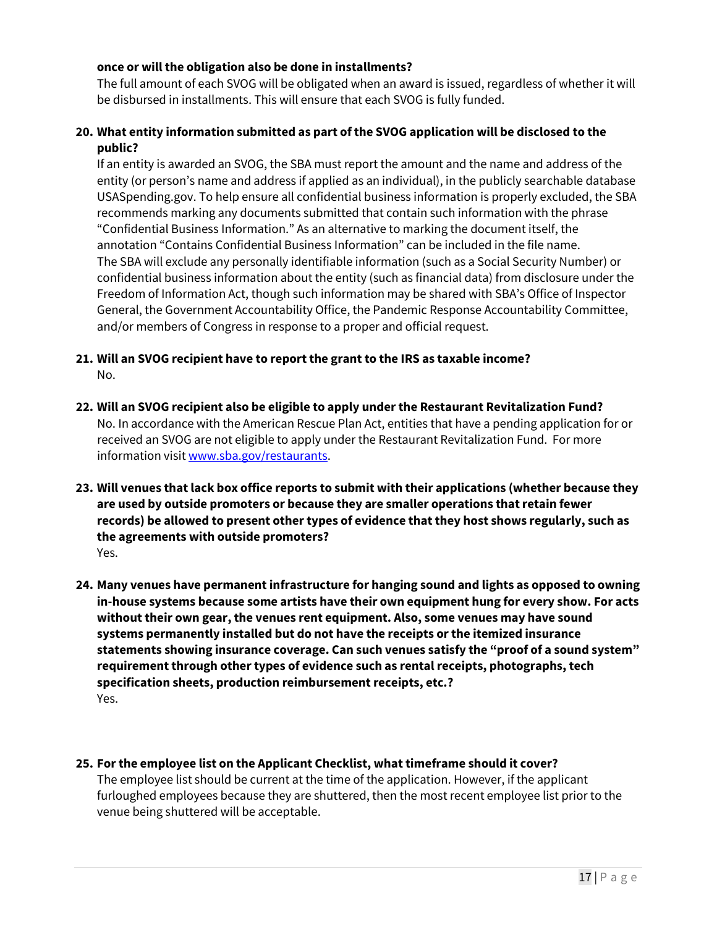#### **once or will the obligation also be done in installments?**

The full amount of each SVOG will be obligated when an award is issued, regardless of whether it will be disbursed in installments. This will ensure that each SVOG is fully funded.

# **20. What entity information submitted as part of the SVOG application will be disclosed to the public?**

If an entity is awarded an SVOG, the SBA must report the amount and the name and address of the entity (or person's name and address if applied as an individual), in the publicly searchable database USASpending.gov. To help ensure all confidential business information is properly excluded, the SBA recommends marking any documents submitted that contain such information with the phrase "Confidential Business Information." As an alternative to marking the document itself, the annotation "Contains Confidential Business Information" can be included in the file name. The SBA will exclude any personally identifiable information (such as a Social Security Number) or confidential business information about the entity (such as financial data) from disclosure under the Freedom of Information Act, though such information may be shared with SBA's Office of Inspector General, the Government Accountability Office, the Pandemic Response Accountability Committee, and/or members of Congress in response to a proper and official request.

# **21. Will an SVOG recipient have to report the grant to the IRS as taxable income?** No.

- **22. Will an SVOG recipient also be eligible to apply under the Restaurant Revitalization Fund?** No. In accordance with the American Rescue Plan Act, entities that have a pending application for or received an SVOG are not eligible to apply under the Restaurant Revitalization Fund. For more information visit www.sba.gov/restaurants.
- **23. Will venues that lack box office reports to submit with their applications (whether because they are used by outside promoters or because they are smaller operations that retain fewer records) be allowed to present other types of evidence that they host shows regularly, such as the agreements with outside promoters?** Yes.
- **24. Many venues have permanent infrastructure for hanging sound and lights as opposed to owning in-house systems because some artists have their own equipment hung for every show. For acts without their own gear, the venues rent equipment. Also, some venues may have sound systems permanently installed but do not have the receipts or the itemized insurance statements showing insurance coverage. Can such venues satisfy the "proof of a sound system" requirement through other types of evidence such as rental receipts, photographs, tech specification sheets, production reimbursement receipts, etc.?** Yes.

#### **25. For the employee list on the Applicant Checklist, what timeframe should it cover?**

The employee list should be current at the time of the application. However, if the applicant furloughed employees because they are shuttered, then the most recent employee list prior to the venue being shuttered will be acceptable.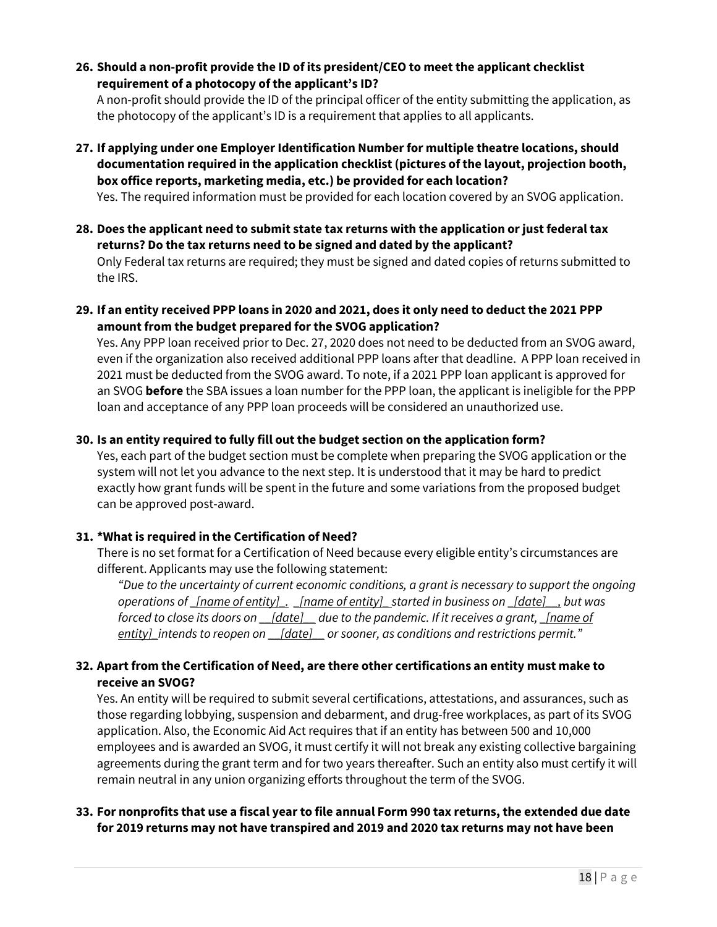**26. Should a non-profit provide the ID of its president/CEO to meet the applicant checklist requirement of a photocopy of the applicant's ID?** 

A non-profit should provide the ID of the principal officer of the entity submitting the application, as the photocopy of the applicant's ID is a requirement that applies to all applicants.

- **27. If applying under one Employer Identification Numberfor multiple theatre locations, should documentation required in the application checklist (pictures of the layout, projection booth, box office reports, marketing media, etc.) be provided for each location?**  Yes. The required information must be provided for each location covered by an SVOG application.
- **28. Does the applicant need to submit state tax returns with the application or just federal tax returns? Do the tax returns need to be signed and dated by the applicant?**

Only Federal tax returns are required; they must be signed and dated copies of returns submitted to the IRS.

**29. If an entity received PPP loans in 2020 and 2021, does it only need to deduct the 2021 PPP amount from the budget prepared for the SVOG application?** 

Yes. Any PPP loan received prior to Dec. 27, 2020 does not need to be deducted from an SVOG award, even if the organization also received additional PPP loans after that deadline. A PPP loan received in 2021 must be deducted from the SVOG award. To note, if a 2021 PPP loan applicant is approved for an SVOG **before** the SBA issues a loan number for the PPP loan, the applicant is ineligible for the PPP loan and acceptance of any PPP loan proceeds will be considered an unauthorized use.

# **30. Is an entity required to fully fill out the budget section on the application form?**

Yes, each part of the budget section must be complete when preparing the SVOG application or the system will not let you advance to the next step. It is understood that it may be hard to predict exactly how grant funds will be spent in the future and some variations from the proposed budget can be approved post-award.

# **31. \*What is required in the Certification of Need?**

There is no set format for a Certification of Need because every eligible entity's circumstances are different. Applicants may use the following statement:

*"Due to the uncertainty of current economic conditions, a grant is necessary to support the ongoing operations of \_[name of entity]\_. \_[name of entity]\_ started in business on \_[date]\_\_, but was forced to close its doors on \_\_[date]\_\_ due to the pandemic. If it receives a grant, \_[name of entity]\_intends to reopen on \_\_[date]\_\_ or sooner, as conditions and restrictions permit."*

# **32. Apart from the Certification of Need, are there other certifications an entity must make to receive an SVOG?**

Yes. An entity will be required to submit several certifications, attestations, and assurances, such as those regarding lobbying, suspension and debarment, and drug-free workplaces, as part of its SVOG application. Also, the Economic Aid Act requires that if an entity has between 500 and 10,000 employees and is awarded an SVOG, it must certify it will not break any existing collective bargaining agreements during the grant term and for two years thereafter. Such an entity also must certify it will remain neutral in any union organizing efforts throughout the term of the SVOG.

# **33. For nonprofits that use a fiscal year to file annual Form 990 tax returns, the extended due date for 2019 returns may not have transpired and 2019 and 2020 tax returns may not have been**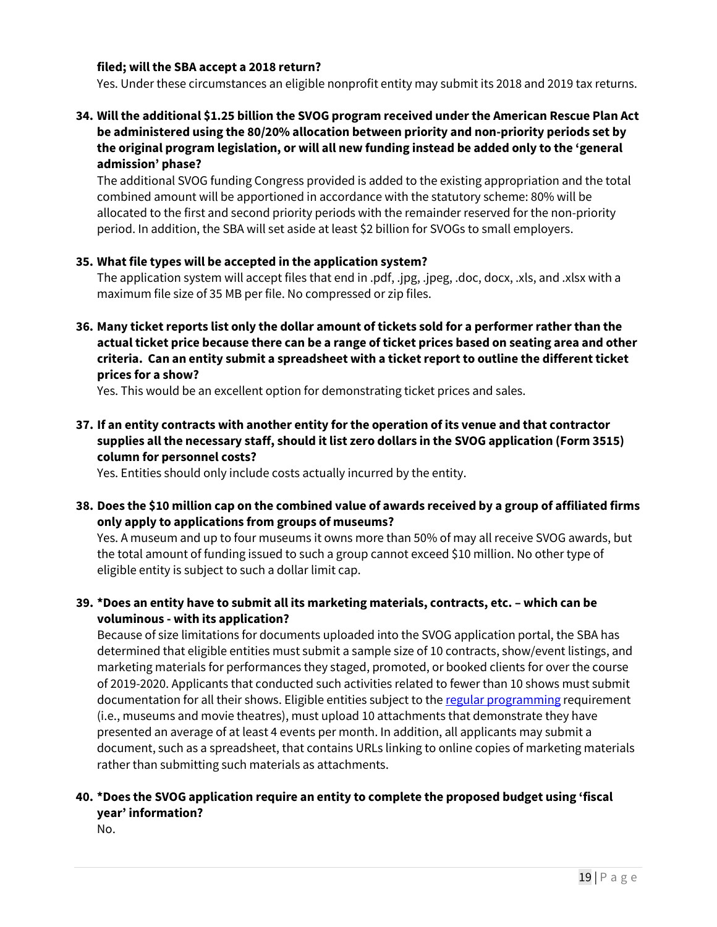#### **filed; will the SBA accept a 2018 return?**

Yes. Under these circumstances an eligible nonprofit entity may submit its 2018 and 2019 tax returns.

# **34. Will the additional \$1.25 billion the SVOG program received underthe American Rescue Plan Act be administered using the 80/20% allocation between priority and non-priority periods set by the original program legislation, or will all new funding instead be added only to the 'general admission' phase?**

The additional SVOG funding Congress provided is added to the existing appropriation and the total combined amount will be apportioned in accordance with the statutory scheme: 80% will be allocated to the first and second priority periods with the remainder reserved for the non-priority period. In addition, the SBA will set aside at least \$2 billion for SVOGs to small employers.

#### **35. What file types will be accepted in the application system?**

The application system will accept files that end in .pdf, .jpg, .jpeg, .doc, docx, .xls, and .xlsx with a maximum file size of 35 MB per file. No compressed or zip files.

**36. Many ticket reports list only the dollar amount of tickets sold for a performer rather than the actual ticket price because there can be a range ofticket prices based on seating area and other criteria. Can an entity submit a spreadsheet with a ticket report to outline the different ticket prices for a show?**

Yes. This would be an excellent option for demonstrating ticket prices and sales.

**37. If an entity contracts with another entity for the operation of its venue and that contractor supplies all the necessary staff, should it list zero dollars in the SVOG application (Form 3515) column for personnel costs?**

Yes. Entities should only include costs actually incurred by the entity.

**38. Does the \$10 million cap on the combined value of awards received by a group of affiliated firms only apply to applications from groups of museums?**

Yes. A museum and up to four museums it owns more than 50% of may all receive SVOG awards, but the total amount of funding issued to such a group cannot exceed \$10 million. No other type of eligible entity is subject to such a dollar limit cap.

**39. \*Does an entity have to submit all its marketing materials, contracts, etc. – which can be voluminous - with its application?** 

Because of size limitations for documents uploaded into the SVOG application portal, the SBA has determined that eligible entities must submit a sample size of 10 contracts, show/event listings, and marketing materials for performances they staged, promoted, or booked clients for over the course of 2019-2020. Applicants that conducted such activities related to fewer than 10 shows must submit documentation for all their shows. Eligible entities subject to the regular programming requirement (i.e., museums and movie theatres), must upload 10 attachments that demonstrate they have presented an average of at least 4 events per month. In addition, all applicants may submit a document, such as a spreadsheet, that contains URLs linking to online copies of marketing materials rather than submitting such materials as attachments.

# **40. \*Does the SVOG application require an entity to complete the proposed budget using 'fiscal year' information?**

No.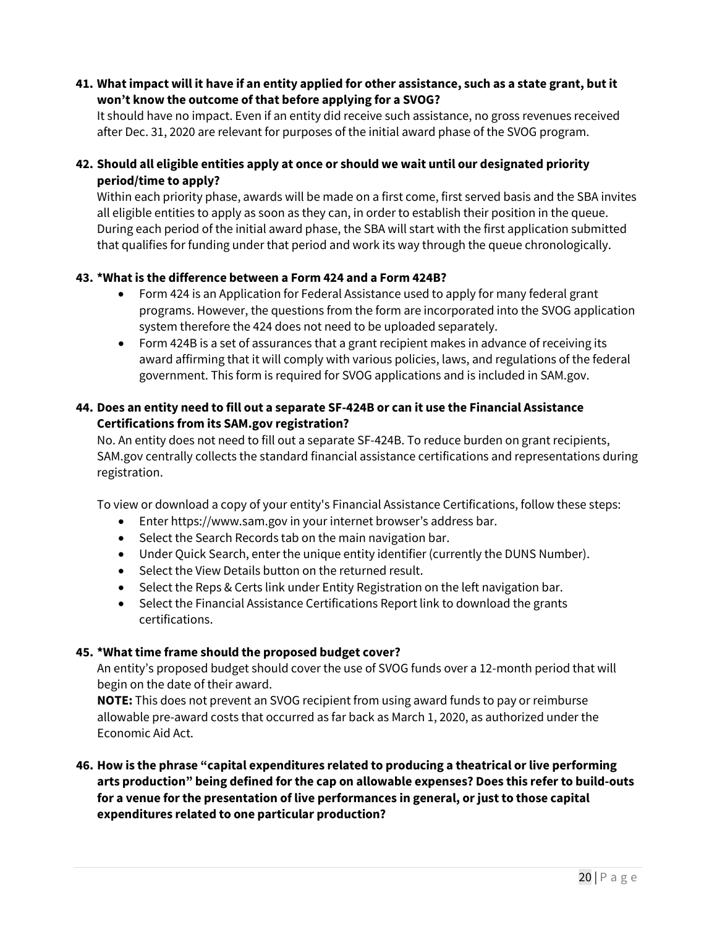### **41. What impact will it have if an entity applied for other assistance, such as a state grant, but it won't know the outcome of that before applying for a SVOG?**

It should have no impact. Even if an entity did receive such assistance, no gross revenues received after Dec. 31, 2020 are relevant for purposes of the initial award phase of the SVOG program.

# **42. Should all eligible entities apply at once or should we wait until our designated priority period/time to apply?**

Within each priority phase, awards will be made on a first come, first served basis and the SBA invites all eligible entities to apply as soon as they can, in order to establish their position in the queue. During each period of the initial award phase, the SBA will start with the first application submitted that qualifies for funding under that period and work its way through the queue chronologically.

# **43. \*What is the difference between a Form 424 and a Form 424B?**

- Form 424 is an Application for Federal Assistance used to apply for many federal grant programs. However, the questions from the form are incorporated into the SVOG application system therefore the 424 does not need to be uploaded separately.
- Form 424B is a set of assurances that a grant recipient makes in advance of receiving its award affirming that it will comply with various policies, laws, and regulations of the federal government. This form is required for SVOG applications and is included in SAM.gov.

### **44. Does an entity need to fill out a separate SF-424B or can it use the Financial Assistance Certifications from its SAM.gov registration?**

No. An entity does not need to fill out a separate SF-424B. To reduce burden on grant recipients, SAM.gov centrally collects the standard financial assistance certifications and representations during registration.

To view or download a copy of your entity's Financial Assistance Certifications, follow these steps:

- Enter https://www.sam.gov in your internet browser's address bar.
- Select the Search Records tab on the main navigation bar.
- Under Quick Search, enter the unique entity identifier (currently the DUNS Number).
- Select the View Details button on the returned result.
- Select the Reps & Certs link under Entity Registration on the left navigation bar.
- Select the Financial Assistance Certifications Report link to download the grants certifications.

#### **45. \*What time frame should the proposed budget cover?**

An entity's proposed budget should cover the use of SVOG funds over a 12-month period that will begin on the date of their award.

**NOTE:** This does not prevent an SVOG recipient from using award funds to pay or reimburse allowable pre-award costs that occurred as far back as March 1, 2020, as authorized under the Economic Aid Act.

# **46. How is the phrase "capital expenditures related to producing a theatrical or live performing arts production" being defined for the cap on allowable expenses? Does this refer to build-outs for a venue for the presentation of live performances in general, or just to those capital expenditures related to one particular production?**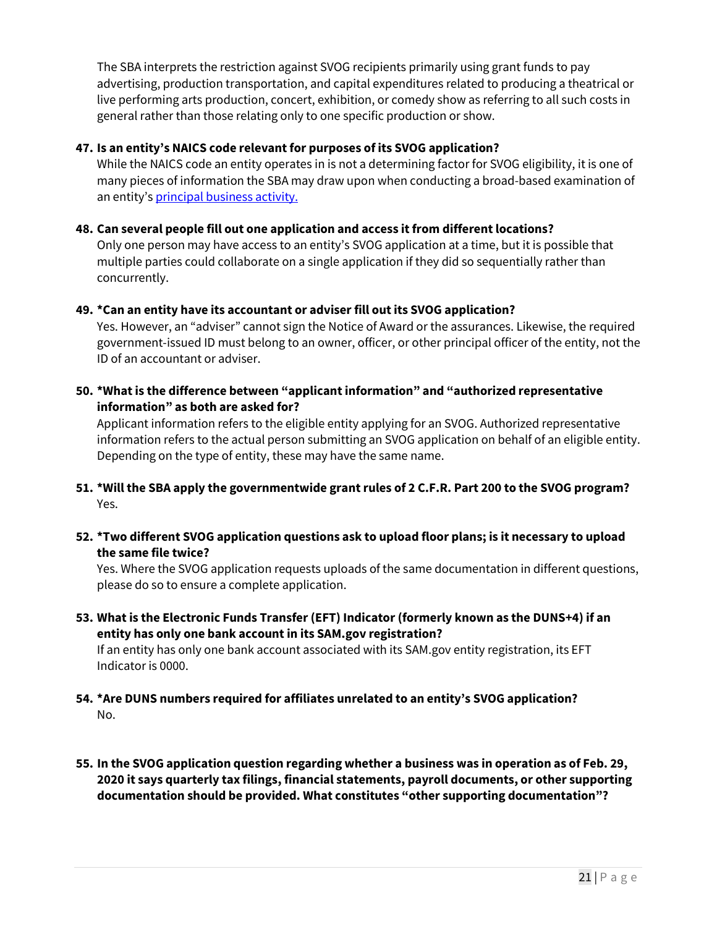The SBA interprets the restriction against SVOG recipients primarily using grant funds to pay advertising, production transportation, and capital expenditures related to producing a theatrical or live performing arts production, concert, exhibition, or comedy show as referring to all such costs in general rather than those relating only to one specific production or show.

# **47. Is an entity's NAICS code relevant for purposes of its SVOG application?**

While the NAICS code an entity operates in is not a determining factor for SVOG eligibility, it is one of many pieces of information the SBA may draw upon when conducting a broad-based examination of an entity's principal business activity.

#### **48. Can several people fill out one application and access it from different locations?**

Only one person may have access to an entity's SVOG application at a time, but it is possible that multiple parties could collaborate on a single application if they did so sequentially rather than concurrently.

#### **49. \*Can an entity have its accountant or adviser fill out its SVOG application?**

Yes. However, an "adviser" cannot sign the Notice of Award or the assurances. Likewise, the required government-issued ID must belong to an owner, officer, or other principal officer of the entity, not the ID of an accountant or adviser.

**50. \*What is the difference between "applicant information" and "authorized representative information" as both are asked for?**

Applicant information refers to the eligible entity applying for an SVOG. Authorized representative information refers to the actual person submitting an SVOG application on behalf of an eligible entity. Depending on the type of entity, these may have the same name.

- **51. \*Will the SBA apply the governmentwide grant rules of 2 C.F.R. Part 200 to the SVOG program?** Yes.
- **52. \*Two different SVOG application questions ask to upload floor plans; is it necessary to upload the same file twice?**

Yes. Where the SVOG application requests uploads of the same documentation in different questions, please do so to ensure a complete application.

- **53. What is the Electronic Funds Transfer (EFT) Indicator (formerly known as the DUNS+4) if an entity has only one bank account in its SAM.gov registration?**  If an entity has only one bank account associated with its SAM.gov entity registration, its EFT Indicator is 0000.
- **54. \*Are DUNS numbers required for affiliates unrelated to an entity's SVOG application?** No.
- **55. In the SVOG application question regarding whether a business was in operation as of Feb. 29, 2020 it says quarterly tax filings, financial statements, payroll documents, or other supporting documentation should be provided. What constitutes "other supporting documentation"?**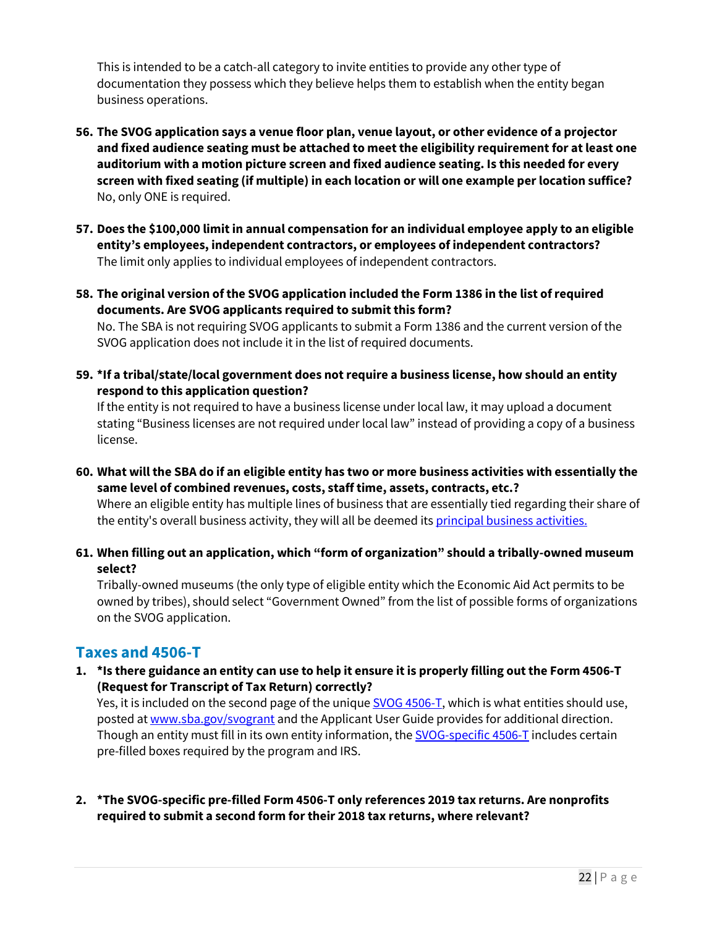This is intended to be a catch-all category to invite entities to provide any other type of documentation they possess which they believe helps them to establish when the entity began business operations.

- **56. The SVOG application says a venue floor plan, venue layout, or other evidence of a projector and fixed audience seating must be attached to meet the eligibility requirement for at least one auditorium with a motion picture screen and fixed audience seating. Is this needed for every screen with fixed seating (if multiple) in each location or will one example per location suffice?**  No, only ONE is required.
- **57. Does the \$100,000 limit in annual compensation for an individual employee apply to an eligible entity's employees, independent contractors, or employees of independent contractors?** The limit only applies to individual employees of independent contractors.
- **58. The original version of the SVOG application included the Form 1386 in the list of required documents. Are SVOG applicants required to submit this form?**

No. The SBA is not requiring SVOG applicants to submit a Form 1386 and the current version of the SVOG application does not include it in the list of required documents.

**59. \*If a tribal/state/local government does not require a business license, how should an entity respond to this application question?**

If the entity is not required to have a business license under local law, it may upload a document stating "Business licenses are not required under local law" instead of providing a copy of a business license.

- **60. What will the SBA do if an eligible entity has two or more business activities with essentially the same level of combined revenues, costs, staff time, assets, contracts, etc.?** Where an eligible entity has multiple lines of business that are essentially tied regarding their share of the entity's overall business activity, they will all be deemed its principal business activities.
- **61. When filling out an application, which "form of organization" should a tribally-owned museum select?**

Tribally-owned museums (the only type of eligible entity which the Economic Aid Act permits to be owned by tribes), should select "Government Owned" from the list of possible forms of organizations on the SVOG application.

# **Taxes and 4506-T**

**1. \*Is there guidance an entity can use to help it ensure it is properly filling out the Form 4506-T (Request for Transcript of Tax Return) correctly?**

Yes, it is included on the second page of the unique **SVOG 4506-T**, which is what entities should use, posted at www.sba.gov/svogrant and the Applicant User Guide provides for additional direction. Though an entity must fill in its own entity information, the SVOG-specific 4506-T includes certain pre-filled boxes required by the program and IRS.

**2. \*The SVOG-specific pre-filled Form 4506-T only references 2019 tax returns. Are nonprofits required to submit a second form for their 2018 tax returns, where relevant?**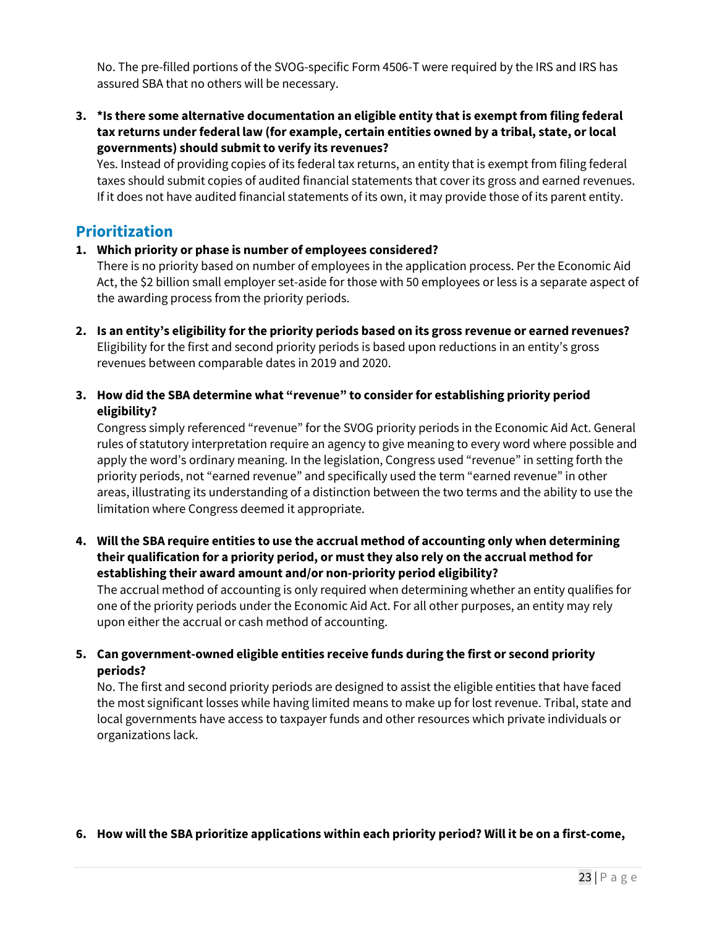No. The pre-filled portions of the SVOG-specific Form 4506-T were required by the IRS and IRS has assured SBA that no others will be necessary.

**3. \*Is there some alternative documentation an eligible entity that is exempt from filing federal tax returns under federal law (for example, certain entities owned by a tribal, state, or local governments) should submit to verify its revenues?**

Yes. Instead of providing copies of its federal tax returns, an entity that is exempt from filing federal taxes should submit copies of audited financial statements that cover its gross and earned revenues. If it does not have audited financial statements of its own, it may provide those of its parent entity.

# **Prioritization**

# **1. Which priority or phase is number of employees considered?**

There is no priority based on number of employees in the application process. Per the Economic Aid Act, the \$2 billion small employer set-aside for those with 50 employees or less is a separate aspect of the awarding process from the priority periods.

- **2. Is an entity's eligibility for the priority periods based on its gross revenue or earned revenues?**  Eligibility for the first and second priority periods is based upon reductions in an entity's gross revenues between comparable dates in 2019 and 2020.
- **3. How did the SBA determine what "revenue" to consider for establishing priority period eligibility?**

Congress simply referenced "revenue" for the SVOG priority periods in the Economic Aid Act. General rules of statutory interpretation require an agency to give meaning to every word where possible and apply the word's ordinary meaning. In the legislation, Congress used "revenue" in setting forth the priority periods, not "earned revenue" and specifically used the term "earned revenue" in other areas, illustrating its understanding of a distinction between the two terms and the ability to use the limitation where Congress deemed it appropriate.

**4. Will the SBA require entities to use the accrual method of accounting only when determining their qualification for a priority period, or must they also rely on the accrual method for establishing their award amount and/or non-priority period eligibility?**

The accrual method of accounting is only required when determining whether an entity qualifies for one of the priority periods under the Economic Aid Act. For all other purposes, an entity may rely upon either the accrual or cash method of accounting.

# **5. Can government-owned eligible entities receive funds during the first or second priority periods?**

No. The first and second priority periods are designed to assist the eligible entities that have faced the most significant losses while having limited means to make up for lost revenue. Tribal, state and local governments have access to taxpayer funds and other resources which private individuals or organizations lack.

# **6. How will the SBA prioritize applications within each priority period? Will it be on a first-come,**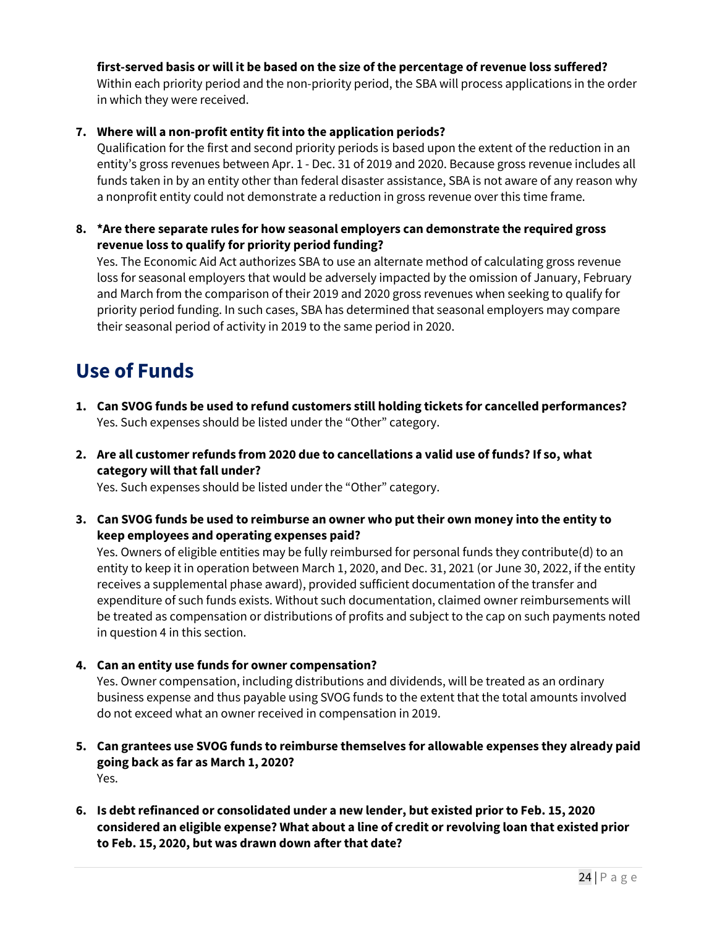# **first-served basis or will it be based on the size of the percentage of revenue loss suffered?**

Within each priority period and the non-priority period, the SBA will process applications in the order in which they were received.

### **7. Where will a non-profit entity fit into the application periods?**

Qualification for the first and second priority periods is based upon the extent of the reduction in an entity's gross revenues between Apr. 1 - Dec. 31 of 2019 and 2020. Because gross revenue includes all funds taken in by an entity other than federal disaster assistance, SBA is not aware of any reason why a nonprofit entity could not demonstrate a reduction in gross revenue over this time frame.

**8. \*Are there separate rules for how seasonal employers can demonstrate the required gross revenue loss to qualify for priority period funding?**

Yes. The Economic Aid Act authorizes SBA to use an alternate method of calculating gross revenue loss for seasonal employers that would be adversely impacted by the omission of January, February and March from the comparison of their 2019 and 2020 gross revenues when seeking to qualify for priority period funding. In such cases, SBA has determined that seasonal employers may compare their seasonal period of activity in 2019 to the same period in 2020.

# **Use of Funds**

- **1. Can SVOG funds be used to refund customers still holding tickets for cancelled performances?** Yes. Such expenses should be listed under the "Other" category.
- **2. Are all customer refunds from 2020 due to cancellations a valid use of funds? If so, what category will that fall under?**

Yes. Such expenses should be listed under the "Other" category.

**3. Can SVOG funds be used to reimburse an owner who put their own money into the entity to keep employees and operating expenses paid?** 

Yes. Owners of eligible entities may be fully reimbursed for personal funds they contribute(d) to an entity to keep it in operation between March 1, 2020, and Dec. 31, 2021 (or June 30, 2022, if the entity receives a supplemental phase award), provided sufficient documentation of the transfer and expenditure of such funds exists. Without such documentation, claimed owner reimbursements will be treated as compensation or distributions of profits and subject to the cap on such payments noted in question 4 in this section.

**4. Can an entity use funds for owner compensation?** 

Yes. Owner compensation, including distributions and dividends, will be treated as an ordinary business expense and thus payable using SVOG funds to the extent that the total amounts involved do not exceed what an owner received in compensation in 2019.

- **5. Can grantees use SVOG funds to reimburse themselves for allowable expenses they already paid going back as far as March 1, 2020?**  Yes.
- **6. Is debt refinanced or consolidated under a new lender, but existed prior to Feb. 15, 2020 considered an eligible expense? What about a line of credit or revolving loan that existed prior to Feb. 15, 2020, but was drawn down after that date?**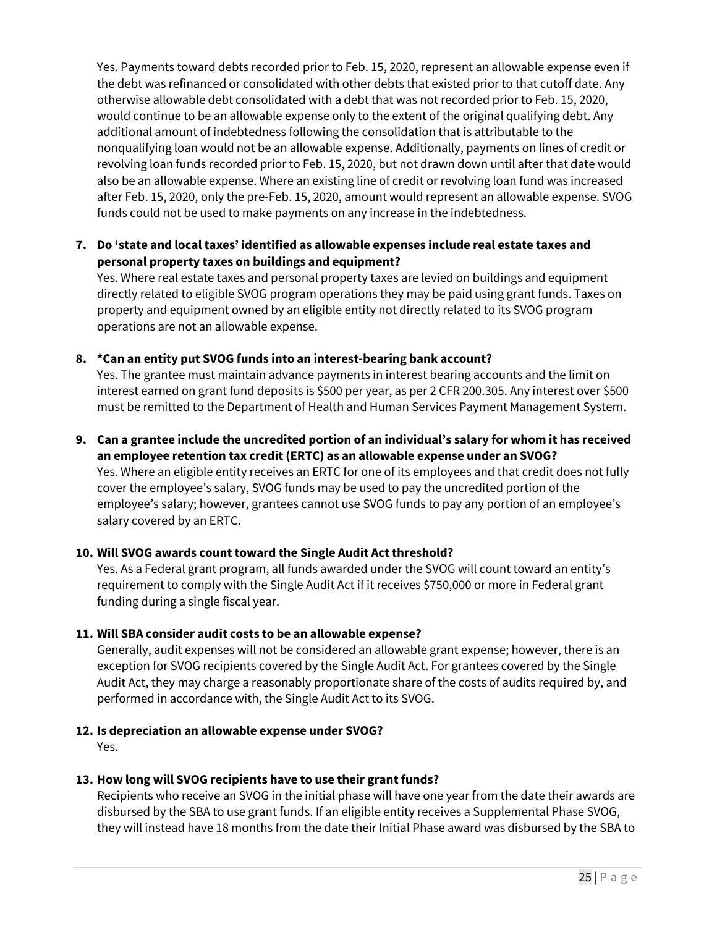Yes. Payments toward debts recorded prior to Feb. 15, 2020, represent an allowable expense even if the debt was refinanced or consolidated with other debts that existed prior to that cutoff date. Any otherwise allowable debt consolidated with a debt that was not recorded prior to Feb. 15, 2020, would continue to be an allowable expense only to the extent of the original qualifying debt. Any additional amount of indebtedness following the consolidation that is attributable to the nonqualifying loan would not be an allowable expense. Additionally, payments on lines of credit or revolving loan funds recorded prior to Feb. 15, 2020, but not drawn down until after that date would also be an allowable expense. Where an existing line of credit or revolving loan fund was increased after Feb. 15, 2020, only the pre-Feb. 15, 2020, amount would represent an allowable expense. SVOG funds could not be used to make payments on any increase in the indebtedness.

# **7. Do 'state and local taxes' identified as allowable expenses include real estate taxes and personal property taxes on buildings and equipment?**

Yes. Where real estate taxes and personal property taxes are levied on buildings and equipment directly related to eligible SVOG program operations they may be paid using grant funds. Taxes on property and equipment owned by an eligible entity not directly related to its SVOG program operations are not an allowable expense.

# **8. \*Can an entity put SVOG funds into an interest-bearing bank account?**

Yes. The grantee must maintain advance payments in interest bearing accounts and the limit on interest earned on grant fund deposits is \$500 per year, as per 2 CFR 200.305. Any interest over \$500 must be remitted to the Department of Health and Human Services Payment Management System.

#### **9. Can a grantee include the uncredited portion of an individual's salary for whom it has received an employee retention tax credit (ERTC) as an allowable expense under an SVOG?**

Yes. Where an eligible entity receives an ERTC for one of its employees and that credit does not fully cover the employee's salary, SVOG funds may be used to pay the uncredited portion of the employee's salary; however, grantees cannot use SVOG funds to pay any portion of an employee's salary covered by an ERTC.

#### **10. Will SVOG awards count toward the Single Audit Act threshold?**

Yes. As a Federal grant program, all funds awarded under the SVOG will count toward an entity's requirement to comply with the Single Audit Act if it receives \$750,000 or more in Federal grant funding during a single fiscal year.

#### **11. Will SBA consider audit costs to be an allowable expense?**

Generally, audit expenses will not be considered an allowable grant expense; however, there is an exception for SVOG recipients covered by the Single Audit Act. For grantees covered by the Single Audit Act, they may charge a reasonably proportionate share of the costs of audits required by, and performed in accordance with, the Single Audit Act to its SVOG.

#### **12. Is depreciation an allowable expense under SVOG?**

Yes.

# **13. How long will SVOG recipients have to use their grant funds?**

Recipients who receive an SVOG in the initial phase will have one year from the date their awards are disbursed by the SBA to use grant funds. If an eligible entity receives a Supplemental Phase SVOG, they will instead have 18 months from the date their Initial Phase award was disbursed by the SBA to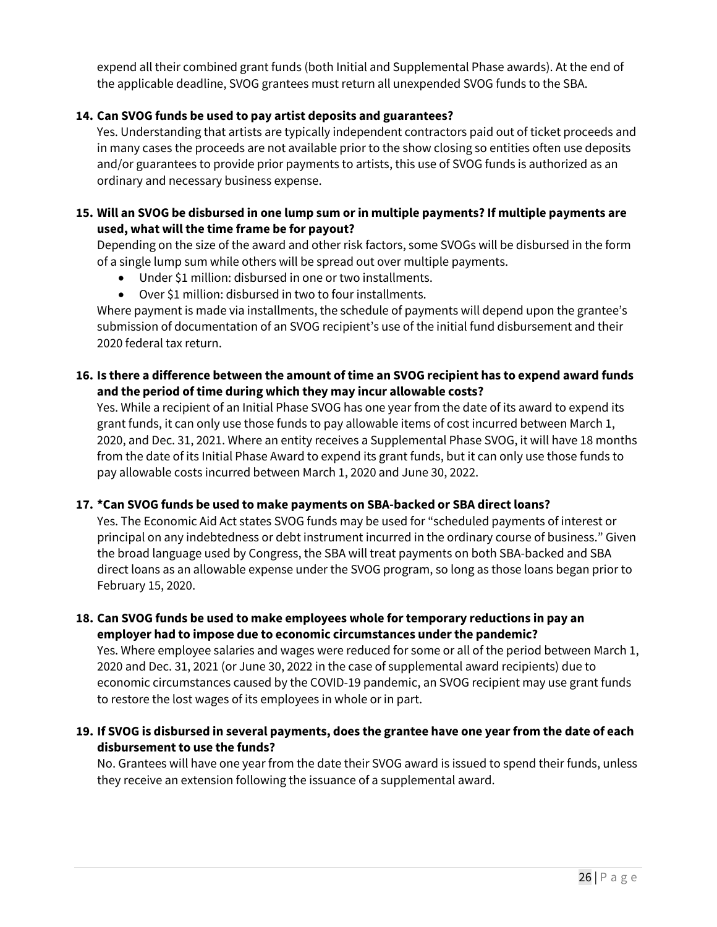expend all their combined grant funds (both Initial and Supplemental Phase awards). At the end of the applicable deadline, SVOG grantees must return all unexpended SVOG funds to the SBA.

# **14. Can SVOG funds be used to pay artist deposits and guarantees?**

Yes. Understanding that artists are typically independent contractors paid out of ticket proceeds and in many cases the proceeds are not available prior to the show closing so entities often use deposits and/or guarantees to provide prior payments to artists, this use of SVOG funds is authorized as an ordinary and necessary business expense.

#### **15. Will an SVOG be disbursed in one lump sum or in multiple payments? If multiple payments are used, what will the time frame be for payout?**

Depending on the size of the award and other risk factors, some SVOGs will be disbursed in the form of a single lump sum while others will be spread out over multiple payments.

- Under \$1 million: disbursed in one or two installments.
- Over \$1 million: disbursed in two to four installments.

Where payment is made via installments, the schedule of payments will depend upon the grantee's submission of documentation of an SVOG recipient's use of the initial fund disbursement and their 2020 federal tax return.

# **16. Is there a difference between the amount of time an SVOG recipient has to expend award funds and the period of time during which they may incur allowable costs?**

Yes. While a recipient of an Initial Phase SVOG has one year from the date of its award to expend its grant funds, it can only use those funds to pay allowable items of cost incurred between March 1, 2020, and Dec. 31, 2021. Where an entity receives a Supplemental Phase SVOG, it will have 18 months from the date of its Initial Phase Award to expend its grant funds, but it can only use those funds to pay allowable costs incurred between March 1, 2020 and June 30, 2022.

#### **17. \*Can SVOG funds be used to make payments on SBA-backed or SBA direct loans?**

Yes. The Economic Aid Act states SVOG funds may be used for "scheduled payments of interest or principal on any indebtedness or debt instrument incurred in the ordinary course of business." Given the broad language used by Congress, the SBA will treat payments on both SBA-backed and SBA direct loans as an allowable expense under the SVOG program, so long as those loans began prior to February 15, 2020.

**18. Can SVOG funds be used to make employees whole for temporary reductions in pay an employer had to impose due to economic circumstances underthe pandemic?**

Yes. Where employee salaries and wages were reduced for some or all of the period between March 1, 2020 and Dec. 31, 2021 (or June 30, 2022 in the case of supplemental award recipients) due to economic circumstances caused by the COVID-19 pandemic, an SVOG recipient may use grant funds to restore the lost wages of its employees in whole or in part.

# **19. If SVOG is disbursed in several payments, does the grantee have one year from the date of each disbursement to use the funds?**

No. Grantees will have one year from the date their SVOG award is issued to spend their funds, unless they receive an extension following the issuance of a supplemental award.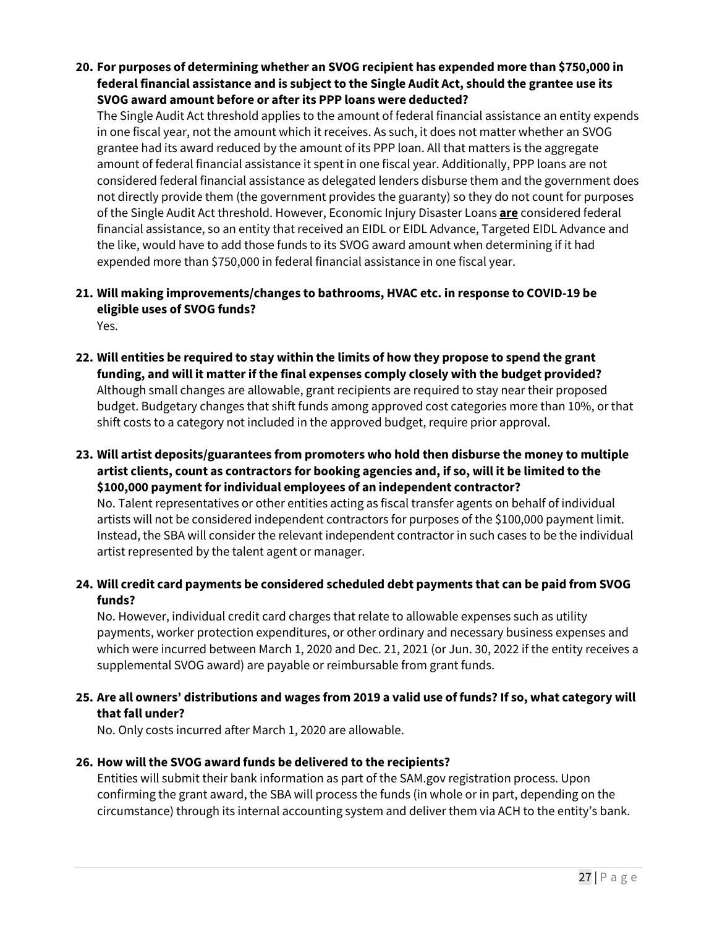**20. For purposes of determining whether an SVOG recipient has expended more than \$750,000 in federal financial assistance and is subject to the Single Audit Act, should the grantee use its SVOG award amount before or after its PPP loans were deducted?**

The Single Audit Act threshold applies to the amount of federal financial assistance an entity expends in one fiscal year, not the amount which it receives. As such, it does not matter whether an SVOG grantee had its award reduced by the amount of its PPP loan. All that matters is the aggregate amount of federal financial assistance it spent in one fiscal year. Additionally, PPP loans are not considered federal financial assistance as delegated lenders disburse them and the government does not directly provide them (the government provides the guaranty) so they do not count for purposes of the Single Audit Act threshold. However, Economic Injury Disaster Loans **are** considered federal financial assistance, so an entity that received an EIDL or EIDL Advance, Targeted EIDL Advance and the like, would have to add those funds to its SVOG award amount when determining if it had expended more than \$750,000 in federal financial assistance in one fiscal year.

#### **21. Will making improvements/changes to bathrooms, HVAC etc. in response to COVID-19 be eligible uses of SVOG funds?**  Yes.

- **22. Will entities be required to stay within the limits of how they propose to spend the grant funding, and will it matter if the final expenses comply closely with the budget provided?** Although small changes are allowable, grant recipients are required to stay near their proposed budget. Budgetary changes that shift funds among approved cost categories more than 10%, or that shift costs to a category not included in the approved budget, require prior approval.
- **23. Will artist deposits/guarantees from promoters who hold then disburse the money to multiple artist clients, count as contractors for booking agencies and, if so, will it be limited to the \$100,000 payment for individual employees of an independent contractor?** No. Talent representatives or other entities acting as fiscal transfer agents on behalf of individual artists will not be considered independent contractors for purposes of the \$100,000 payment limit. Instead, the SBA will consider the relevant independent contractor in such cases to be the individual artist represented by the talent agent or manager.

# **24. Will credit card payments be considered scheduled debt payments that can be paid from SVOG funds?**

No. However, individual credit card charges that relate to allowable expenses such as utility payments, worker protection expenditures, or other ordinary and necessary business expenses and which were incurred between March 1, 2020 and Dec. 21, 2021 (or Jun. 30, 2022 if the entity receives a supplemental SVOG award) are payable or reimbursable from grant funds.

# **25. Are all owners' distributions and wages from 2019 a valid use of funds? If so, what category will that fall under?**

No. Only costs incurred after March 1, 2020 are allowable.

# **26. How will the SVOG award funds be delivered to the recipients?**

Entities will submit their bank information as part of the SAM.gov registration process. Upon confirming the grant award, the SBA will process the funds (in whole or in part, depending on the circumstance) through its internal accounting system and deliver them via ACH to the entity's bank.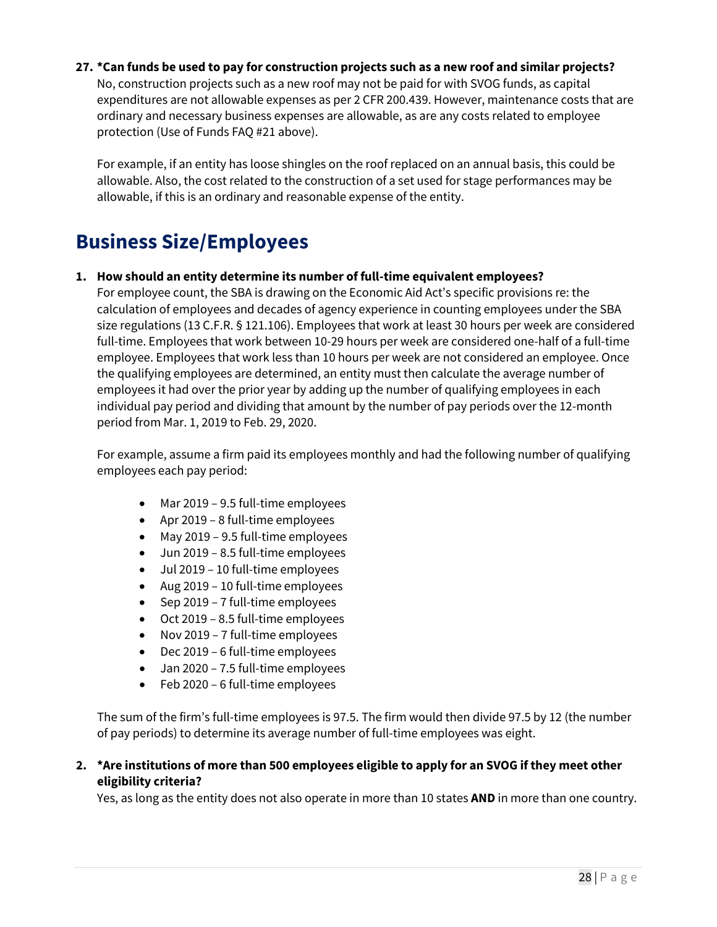**27. \*Can funds be used to pay for construction projects such as a new roof and similar projects?** No, construction projects such as a new roof may not be paid for with SVOG funds, as capital expenditures are not allowable expenses as per 2 CFR 200.439. However, maintenance costs that are ordinary and necessary business expenses are allowable, as are any costs related to employee protection (Use of Funds FAQ #21 above).

For example, if an entity has loose shingles on the roof replaced on an annual basis, this could be allowable. Also, the cost related to the construction of a set used for stage performances may be allowable, if this is an ordinary and reasonable expense of the entity.

# **Business Size/Employees**

**1. How should an entity determine its number of full-time equivalent employees?** 

For employee count, the SBA is drawing on the Economic Aid Act's specific provisions re: the calculation of employees and decades of agency experience in counting employees under the SBA size regulations (13 C.F.R. § 121.106). Employees that work at least 30 hours per week are considered full-time. Employees that work between 10-29 hours per week are considered one-half of a full-time employee. Employees that work less than 10 hours per week are not considered an employee. Once the qualifying employees are determined, an entity must then calculate the average number of employees it had over the prior year by adding up the number of qualifying employees in each individual pay period and dividing that amount by the number of pay periods over the 12-month period from Mar. 1, 2019 to Feb. 29, 2020.

For example, assume a firm paid its employees monthly and had the following number of qualifying employees each pay period:

- Mar 2019 9.5 full-time employees
- Apr 2019 8 full-time employees
- May 2019 9.5 full-time employees
- Jun 2019 8.5 full-time employees
- Jul 2019 10 full-time employees
- Aug 2019 10 full-time employees
- Sep 2019 7 full-time employees
- Oct 2019 8.5 full-time employees
- Nov 2019 7 full-time employees
- Dec 2019 6 full-time employees
- Jan 2020 7.5 full-time employees
- Feb 2020 6 full-time employees

The sum of the firm's full-time employees is 97.5. The firm would then divide 97.5 by 12 (the number of pay periods) to determine its average number of full-time employees was eight.

**2. \*Are institutions of more than 500 employees eligible to apply for an SVOG if they meet other eligibility criteria?**

Yes, as long as the entity does not also operate in more than 10 states **AND** in more than one country.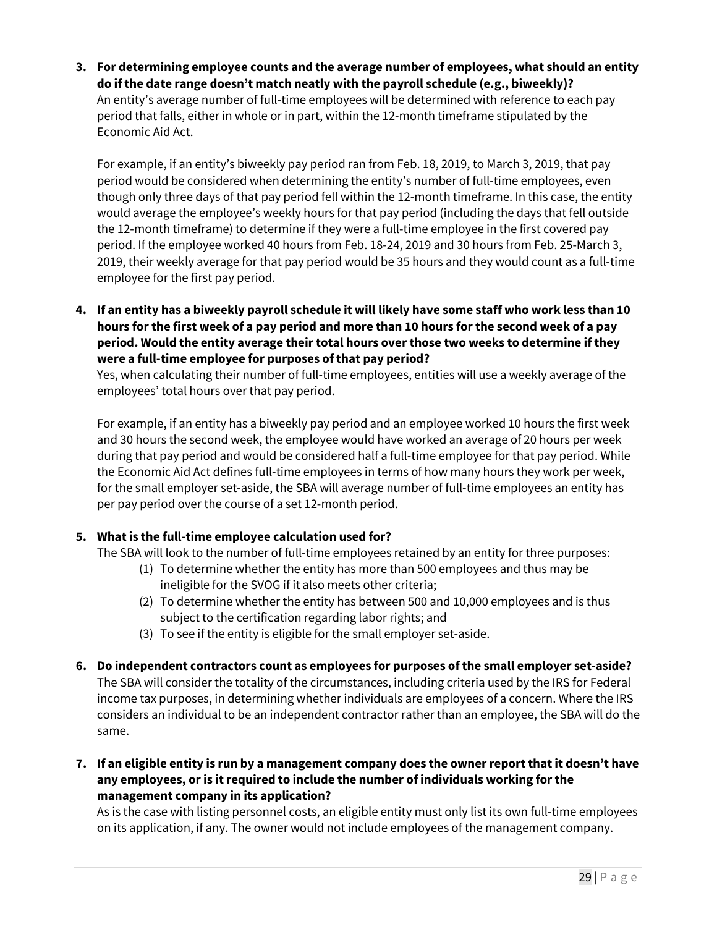**3. For determining employee counts and the average number of employees, what should an entity do if the date range doesn't match neatly with the payroll schedule (e.g., biweekly)?** An entity's average number of full-time employees will be determined with reference to each pay period that falls, either in whole or in part, within the 12-month timeframe stipulated by the Economic Aid Act.

For example, if an entity's biweekly pay period ran from Feb. 18, 2019, to March 3, 2019, that pay period would be considered when determining the entity's number of full-time employees, even though only three days of that pay period fell within the 12-month timeframe. In this case, the entity would average the employee's weekly hours for that pay period (including the days that fell outside the 12-month timeframe) to determine if they were a full-time employee in the first covered pay period. If the employee worked 40 hours from Feb. 18-24, 2019 and 30 hours from Feb. 25-March 3, 2019, their weekly average for that pay period would be 35 hours and they would count as a full-time employee for the first pay period.

**4. If an entity has a biweekly payroll schedule it will likely have some staff who work less than 10 hours for the first week of a pay period and more than 10 hours for the second week of a pay period. Would the entity average their total hours over those two weeks to determine if they were a full-time employee for purposes of that pay period?**

Yes, when calculating their number of full-time employees, entities will use a weekly average of the employees' total hours over that pay period.

For example, if an entity has a biweekly pay period and an employee worked 10 hours the first week and 30 hours the second week, the employee would have worked an average of 20 hours per week during that pay period and would be considered half a full-time employee for that pay period. While the Economic Aid Act defines full-time employees in terms of how many hours they work per week, for the small employer set-aside, the SBA will average number of full-time employees an entity has per pay period over the course of a set 12-month period.

# **5. What is the full-time employee calculation used for?**

The SBA will look to the number of full-time employees retained by an entity for three purposes:

- (1) To determine whether the entity has more than 500 employees and thus may be ineligible for the SVOG if it also meets other criteria;
- (2) To determine whether the entity has between 500 and 10,000 employees and is thus subject to the certification regarding labor rights; and
- (3) To see if the entity is eligible for the small employer set-aside.
- **6. Do independent contractors count as employees for purposes of the small employer set-aside?** The SBA will consider the totality of the circumstances, including criteria used by the IRS for Federal income tax purposes, in determining whether individuals are employees of a concern. Where the IRS considers an individual to be an independent contractor rather than an employee, the SBA will do the same.
- **7. If an eligible entity is run by a management company does the owner report that it doesn't have any employees, or is it required to include the number of individuals working for the management company in its application?**

As is the case with listing personnel costs, an eligible entity must only list its own full-time employees on its application, if any. The owner would not include employees of the management company.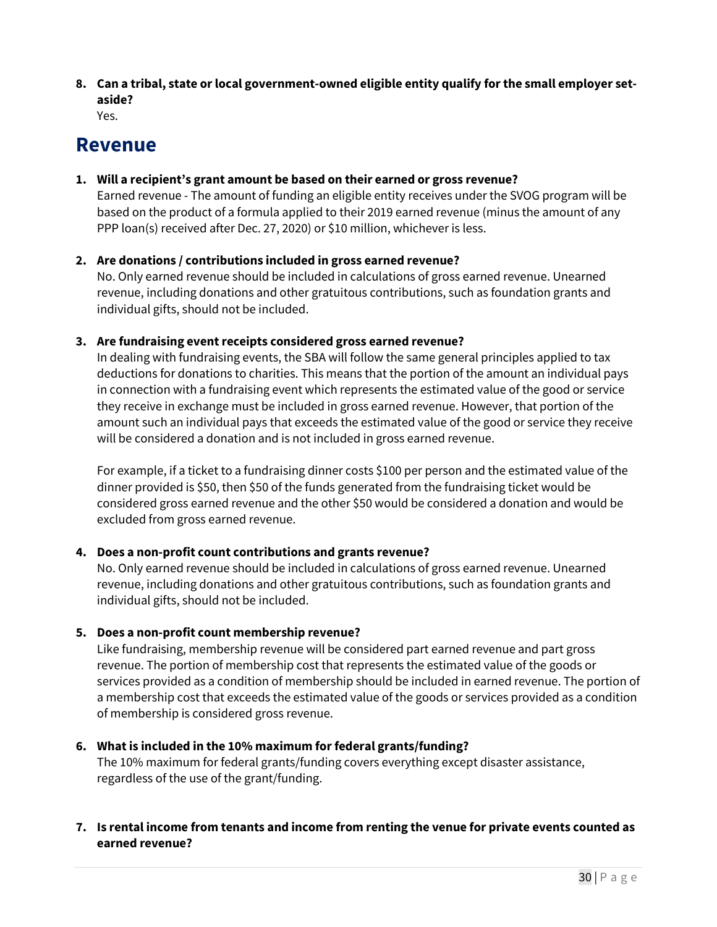**8. Can a tribal, state or local government-owned eligible entity qualify for the small employer setaside?**

Yes.

# **Revenue**

### **1. Will a recipient's grant amount be based on their earned or gross revenue?**

Earned revenue - The amount of funding an eligible entity receives under the SVOG program will be based on the product of a formula applied to their 2019 earned revenue (minus the amount of any PPP loan(s) received after Dec. 27, 2020) or \$10 million, whichever is less.

# **2. Are donations / contributions included in gross earned revenue?**

No. Only earned revenue should be included in calculations of gross earned revenue. Unearned revenue, including donations and other gratuitous contributions, such as foundation grants and individual gifts, should not be included.

# **3. Are fundraising event receipts considered gross earned revenue?**

In dealing with fundraising events, the SBA will follow the same general principles applied to tax deductions for donations to charities. This means that the portion of the amount an individual pays in connection with a fundraising event which represents the estimated value of the good or service they receive in exchange must be included in gross earned revenue. However, that portion of the amount such an individual pays that exceeds the estimated value of the good or service they receive will be considered a donation and is not included in gross earned revenue.

For example, if a ticket to a fundraising dinner costs \$100 per person and the estimated value of the dinner provided is \$50, then \$50 of the funds generated from the fundraising ticket would be considered gross earned revenue and the other \$50 would be considered a donation and would be excluded from gross earned revenue.

# **4. Does a non-profit count contributions and grants revenue?**

No. Only earned revenue should be included in calculations of gross earned revenue. Unearned revenue, including donations and other gratuitous contributions, such as foundation grants and individual gifts, should not be included.

# **5. Does a non-profit count membership revenue?**

Like fundraising, membership revenue will be considered part earned revenue and part gross revenue. The portion of membership cost that represents the estimated value of the goods or services provided as a condition of membership should be included in earned revenue. The portion of a membership cost that exceeds the estimated value of the goods or services provided as a condition of membership is considered gross revenue.

# **6. What is included in the 10% maximum for federal grants/funding?**

The 10% maximum for federal grants/funding covers everything except disaster assistance, regardless of the use of the grant/funding.

# **7. Is rental income from tenants and income from renting the venue for private events counted as earned revenue?**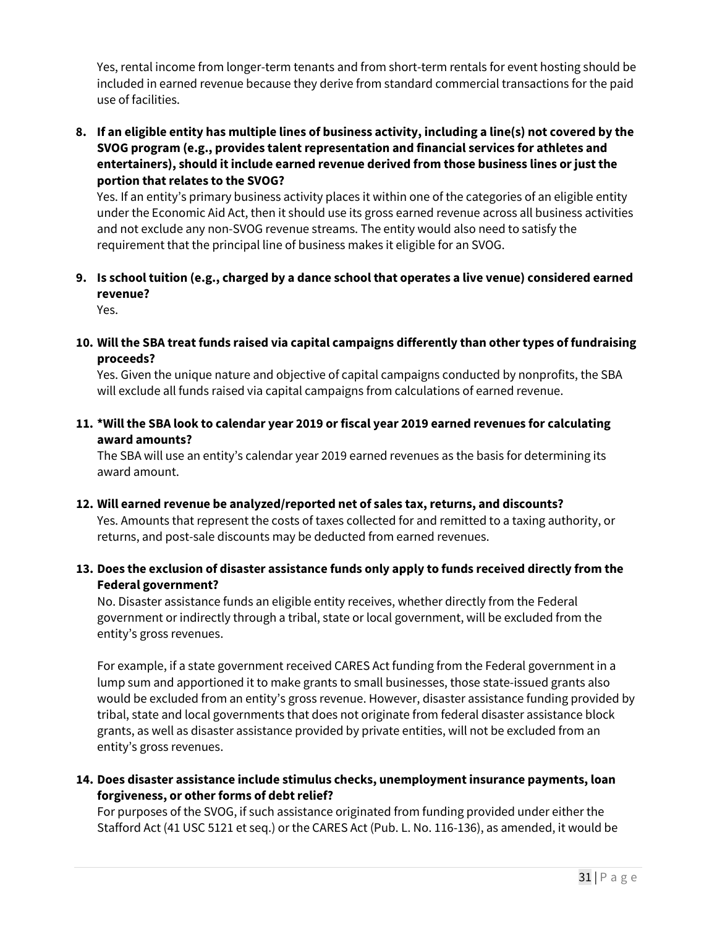Yes, rental income from longer-term tenants and from short-term rentals for event hosting should be included in earned revenue because they derive from standard commercial transactions for the paid use of facilities.

**8. If an eligible entity has multiple lines of business activity, including a line(s) not covered by the SVOG program (e.g., provides talent representation and financial services for athletes and entertainers), should it include earned revenue derived from those business lines or just the portion that relates to the SVOG?** 

Yes. If an entity's primary business activity places it within one of the categories of an eligible entity under the Economic Aid Act, then it should use its gross earned revenue across all business activities and not exclude any non-SVOG revenue streams. The entity would also need to satisfy the requirement that the principal line of business makes it eligible for an SVOG.

**9. Is school tuition (e.g., charged by a dance school that operates a live venue) considered earned revenue?** 

Yes.

**10. Will the SBA treat funds raised via capital campaigns differently than other types of fundraising proceeds?**

Yes. Given the unique nature and objective of capital campaigns conducted by nonprofits, the SBA will exclude all funds raised via capital campaigns from calculations of earned revenue.

**11. \*Will the SBA look to calendar year 2019 or fiscal year 2019 earned revenues for calculating award amounts?** 

The SBA will use an entity's calendar year 2019 earned revenues as the basis for determining its award amount.

**12. Will earned revenue be analyzed/reported net of sales tax, returns, and discounts?**

Yes. Amounts that represent the costs of taxes collected for and remitted to a taxing authority, or returns, and post-sale discounts may be deducted from earned revenues.

# **13. Does the exclusion of disaster assistance funds only apply to funds received directly from the Federal government?**

No. Disaster assistance funds an eligible entity receives, whether directly from the Federal government or indirectly through a tribal, state or local government, will be excluded from the entity's gross revenues.

For example, if a state government received CARES Act funding from the Federal government in a lump sum and apportioned it to make grants to small businesses, those state-issued grants also would be excluded from an entity's gross revenue. However, disaster assistance funding provided by tribal, state and local governments that does not originate from federal disaster assistance block grants, as well as disaster assistance provided by private entities, will not be excluded from an entity's gross revenues.

# **14. Does disaster assistance include stimulus checks, unemployment insurance payments, loan forgiveness, or other forms of debt relief?**

For purposes of the SVOG, if such assistance originated from funding provided under either the Stafford Act (41 USC 5121 et seq.) or the CARES Act (Pub. L. No. 116-136), as amended, it would be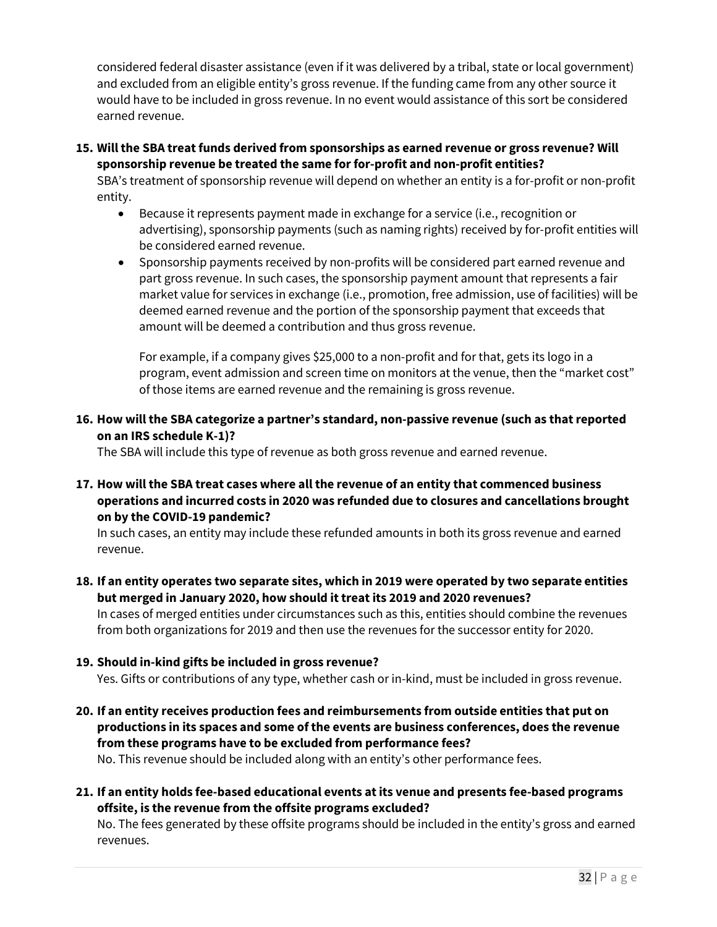considered federal disaster assistance (even if it was delivered by a tribal, state or local government) and excluded from an eligible entity's gross revenue. If the funding came from any other source it would have to be included in gross revenue. In no event would assistance of this sort be considered earned revenue.

**15. Will the SBA treat funds derived from sponsorships as earned revenue or gross revenue? Will sponsorship revenue be treated the same for for-profit and non-profit entities?** 

SBA's treatment of sponsorship revenue will depend on whether an entity is a for-profit or non-profit entity.

- Because it represents payment made in exchange for a service (i.e., recognition or advertising), sponsorship payments (such as naming rights) received by for-profit entities will be considered earned revenue.
- Sponsorship payments received by non-profits will be considered part earned revenue and part gross revenue. In such cases, the sponsorship payment amount that represents a fair market value for services in exchange (i.e., promotion, free admission, use of facilities) will be deemed earned revenue and the portion of the sponsorship payment that exceeds that amount will be deemed a contribution and thus gross revenue.

For example, if a company gives \$25,000 to a non-profit and for that, gets its logo in a program, event admission and screen time on monitors at the venue, then the "market cost" of those items are earned revenue and the remaining is gross revenue.

**16. How will the SBA categorize a partner's standard, non-passive revenue (such as that reported on an IRS schedule K-1)?**

The SBA will include this type of revenue as both gross revenue and earned revenue.

**17. How will the SBA treat cases where all the revenue of an entity that commenced business operations and incurred costs in 2020 was refunded due to closures and cancellations brought on by the COVID-19 pandemic?**

In such cases, an entity may include these refunded amounts in both its gross revenue and earned revenue.

- **18. If an entity operates two separate sites, which in 2019 were operated by two separate entities but merged in January 2020, how should it treat its 2019 and 2020 revenues?** In cases of merged entities under circumstances such as this, entities should combine the revenues from both organizations for 2019 and then use the revenues for the successor entity for 2020.
- **19. Should in-kind gifts be included in gross revenue?**

Yes. Gifts or contributions of any type, whether cash or in-kind, must be included in gross revenue.

**20. If an entity receives production fees and reimbursements from outside entities that put on productions in its spaces and some of the events are business conferences, does the revenue from these programs have to be excluded from performance fees?**

No. This revenue should be included along with an entity's other performance fees.

**21. If an entity holds fee-based educational events at its venue and presents fee-based programs offsite, is the revenue from the offsite programs excluded?**

No. The fees generated by these offsite programs should be included in the entity's gross and earned revenues.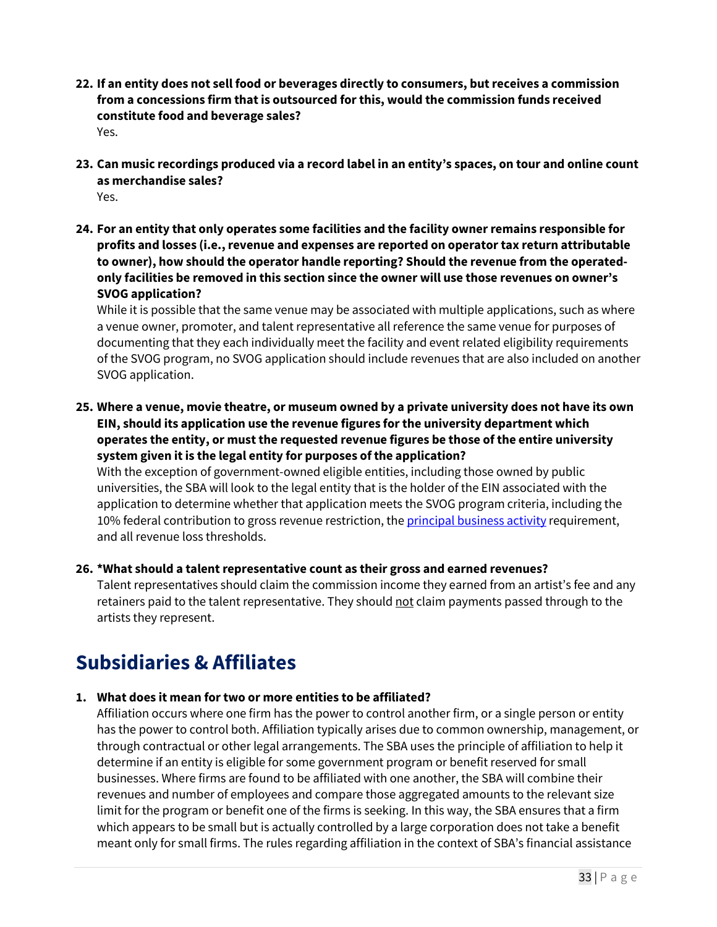- **22. If an entity does not sell food or beverages directly to consumers, but receives a commission from a concessions firm that is outsourced for this, would the commission funds received constitute food and beverage sales?** Yes.
- **23. Can music recordings produced via a record label in an entity's spaces, on tour and online count as merchandise sales?** Yes.
- **24. For an entity that only operates some facilities and the facility owner remains responsible for profits and losses (i.e., revenue and expenses are reported on operator tax return attributable to owner), how should the operator handle reporting? Should the revenue from the operatedonly facilities be removed in this section since the owner will use those revenues on owner's SVOG application?**

While it is possible that the same venue may be associated with multiple applications, such as where a venue owner, promoter, and talent representative all reference the same venue for purposes of documenting that they each individually meet the facility and event related eligibility requirements of the SVOG program, no SVOG application should include revenues that are also included on another SVOG application.

**25. Where a venue, movie theatre, or museum owned by a private university does not have its own EIN, should its application use the revenue figures forthe university department which operates the entity, or must the requested revenue figures be those of the entire university system given it is the legal entity for purposes of the application?**

With the exception of government-owned eligible entities, including those owned by public universities, the SBA will look to the legal entity that is the holder of the EIN associated with the application to determine whether that application meets the SVOG program criteria, including the 10% federal contribution to gross revenue restriction, the *principal business activity* requirement, and all revenue loss thresholds.

#### **26. \*What should a talent representative count as their gross and earned revenues?**

Talent representatives should claim the commission income they earned from an artist's fee and any retainers paid to the talent representative. They should not claim payments passed through to the artists they represent.

# **Subsidiaries & Affiliates**

#### **1. What does it mean for two or more entities to be affiliated?**

Affiliation occurs where one firm has the power to control another firm, or a single person or entity has the power to control both. Affiliation typically arises due to common ownership, management, or through contractual or other legal arrangements. The SBA uses the principle of affiliation to help it determine if an entity is eligible for some government program or benefit reserved for small businesses. Where firms are found to be affiliated with one another, the SBA will combine their revenues and number of employees and compare those aggregated amounts to the relevant size limit for the program or benefit one of the firms is seeking. In this way, the SBA ensures that a firm which appears to be small but is actually controlled by a large corporation does not take a benefit meant only for small firms. The rules regarding affiliation in the context of SBA's financial assistance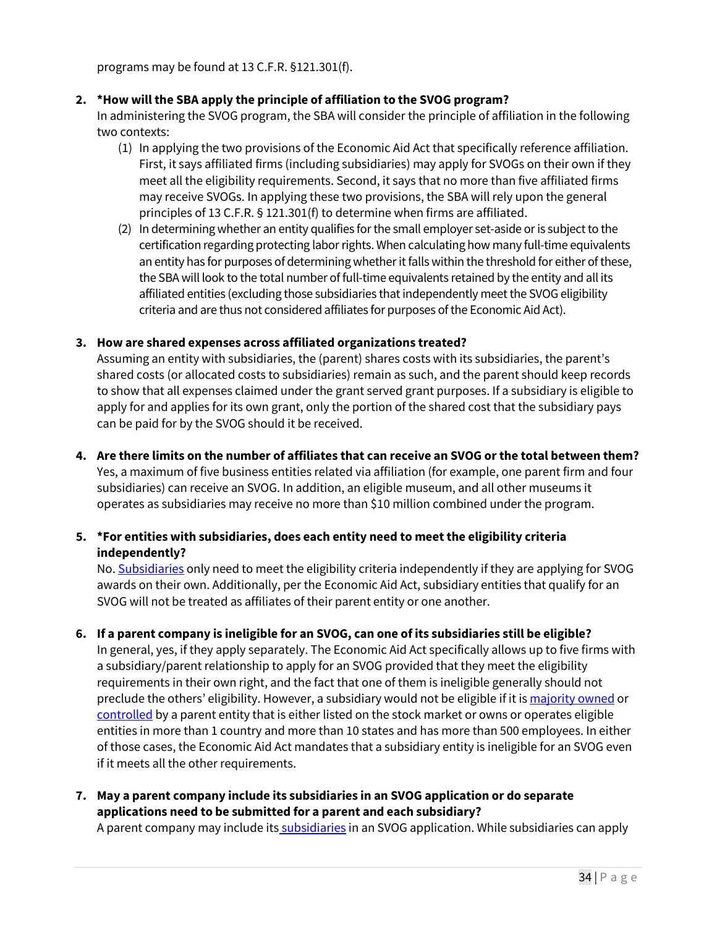programs may be found at 13 C.F.R. §121.301(f).

### **2. \*How will the SBA apply the principle of affiliation to the SVOG program?**

In administering the SVOG program, the SBA will consider the principle of affiliation in the following two contexts:

- (1) In applying the two provisions of the Economic Aid Act that specifically reference affiliation. First, it says affiliated firms (including subsidiaries) may apply for SVOGs on their own if they meet all the eligibility requirements. Second, it says that no more than five affiliated firms may receive SVOGs. In applying these two provisions, the SBA will rely upon the general principles of 13 C.F.R. § 121.301(f) to determine when firms are affiliated.
- (2) In determining whether an entity qualifies for the small employer set-aside or is subject to the certification regarding protecting labor rights. When calculating how many full-time equivalents an entity has for purposes of determining whether it falls within the threshold for either of these, the SBA will look to the total number of full-time equivalents retained by the entity and all its affiliated entities (excluding those subsidiaries that independently meet the SVOG eligibility criteria and are thus not considered affiliates for purposes of the Economic Aid Act).

#### **3. How are shared expenses across affiliated organizations treated?**

Assuming an entity with subsidiaries, the (parent) shares costs with its subsidiaries, the parent's shared costs (or allocated costs to subsidiaries) remain as such, and the parent should keep records to show that all expenses claimed under the grant served grant purposes. If a subsidiary is eligible to apply for and applies for its own grant, only the portion of the shared cost that the subsidiary pays can be paid for by the SVOG should it be received.

#### **4. Are there limits on the number of affiliates that can receive an SVOG or the total between them?**

Yes, a maximum of five business entities related via affiliation (for example, one parent firm and four subsidiaries) can receive an SVOG. In addition, an eligible museum, and all other museums it operates as subsidiaries may receive no more than \$10 million combined under the program.

# **5. \*For entities with subsidiaries, does each entity need to meet the eligibility criteria independently?**

No. Subsidiaries only need to meet the eligibility criteria independently if they are applying for SVOG awards on their own. Additionally, per the Economic Aid Act, subsidiary entities that qualify for an SVOG will not be treated as affiliates of their parent entity or one another.

#### **6. If a parent company is ineligible for an SVOG, can one of its subsidiaries still be eligible?**

In general, yes, if they apply separately. The Economic Aid Act specifically allows up to five firms with a subsidiary/parent relationship to apply for an SVOG provided that they meet the eligibility requirements in their own right, and the fact that one of them is ineligible generally should not preclude the others' eligibility. However, a subsidiary would not be eligible if it is majority owned or controlled by a parent entity that is either listed on the stock market or owns or operates eligible entities in more than 1 country and more than 10 states and has more than 500 employees. In either of those cases, the Economic Aid Act mandates that a subsidiary entity is ineligible for an SVOG even if it meets all the other requirements.

**7. May a parent company include its subsidiaries in an SVOG application or do separate applications need to be submitted for a parent and each subsidiary?**

A parent company may include its subsidiaries in an SVOG application. While subsidiaries can apply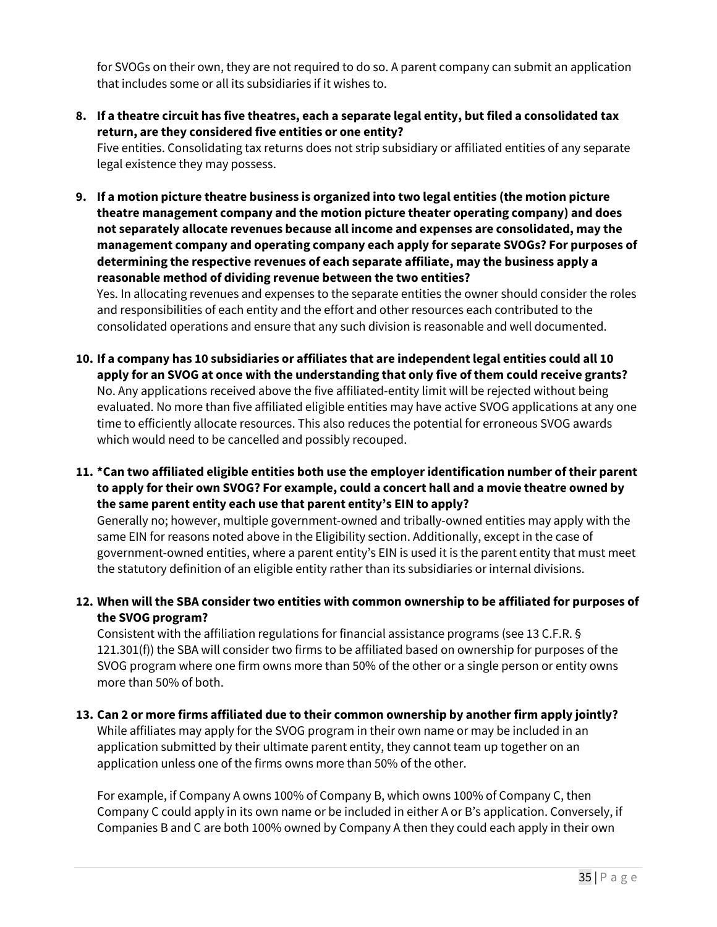for SVOGs on their own, they are not required to do so. A parent company can submit an application that includes some or all its subsidiaries if it wishes to.

**8. If a theatre circuit has five theatres, each a separate legal entity, but filed a consolidated tax return, are they considered five entities or one entity?** 

Five entities. Consolidating tax returns does not strip subsidiary or affiliated entities of any separate legal existence they may possess.

**9. If a motion picture theatre business is organized into two legal entities (the motion picture theatre management company and the motion picture theater operating company) and does not separately allocate revenues because all income and expenses are consolidated, may the management company and operating company each apply for separate SVOGs? For purposes of determining the respective revenues of each separate affiliate, may the business apply a reasonable method of dividing revenue between the two entities?**

Yes. In allocating revenues and expenses to the separate entities the owner should consider the roles and responsibilities of each entity and the effort and other resources each contributed to the consolidated operations and ensure that any such division is reasonable and well documented.

- **10. If a company has 10 subsidiaries or affiliates that are independent legal entities could all 10 apply for an SVOG at once with the understanding that only five of them could receive grants?** No. Any applications received above the five affiliated-entity limit will be rejected without being evaluated. No more than five affiliated eligible entities may have active SVOG applications at any one time to efficiently allocate resources. This also reduces the potential for erroneous SVOG awards which would need to be cancelled and possibly recouped.
- **11. \*Can two affiliated eligible entities both use the employer identification number of their parent to apply for their own SVOG? For example, could a concert hall and a movie theatre owned by the same parent entity each use that parent entity's EIN to apply?**

Generally no; however, multiple government-owned and tribally-owned entities may apply with the same EIN for reasons noted above in the Eligibility section. Additionally, except in the case of government-owned entities, where a parent entity's EIN is used it is the parent entity that must meet the statutory definition of an eligible entity rather than its subsidiaries or internal divisions.

**12. When will the SBA consider two entities with common ownership to be affiliated for purposes of the SVOG program?**

Consistent with the affiliation regulations for financial assistance programs (see 13 C.F.R. § 121.301(f)) the SBA will consider two firms to be affiliated based on ownership for purposes of the SVOG program where one firm owns more than 50% of the other or a single person or entity owns more than 50% of both.

#### **13. Can 2 or more firms affiliated due to their common ownership by another firm apply jointly?**

While affiliates may apply for the SVOG program in their own name or may be included in an application submitted by their ultimate parent entity, they cannot team up together on an application unless one of the firms owns more than 50% of the other.

For example, if Company A owns 100% of Company B, which owns 100% of Company C, then Company C could apply in its own name or be included in either A or B's application. Conversely, if Companies B and C are both 100% owned by Company A then they could each apply in their own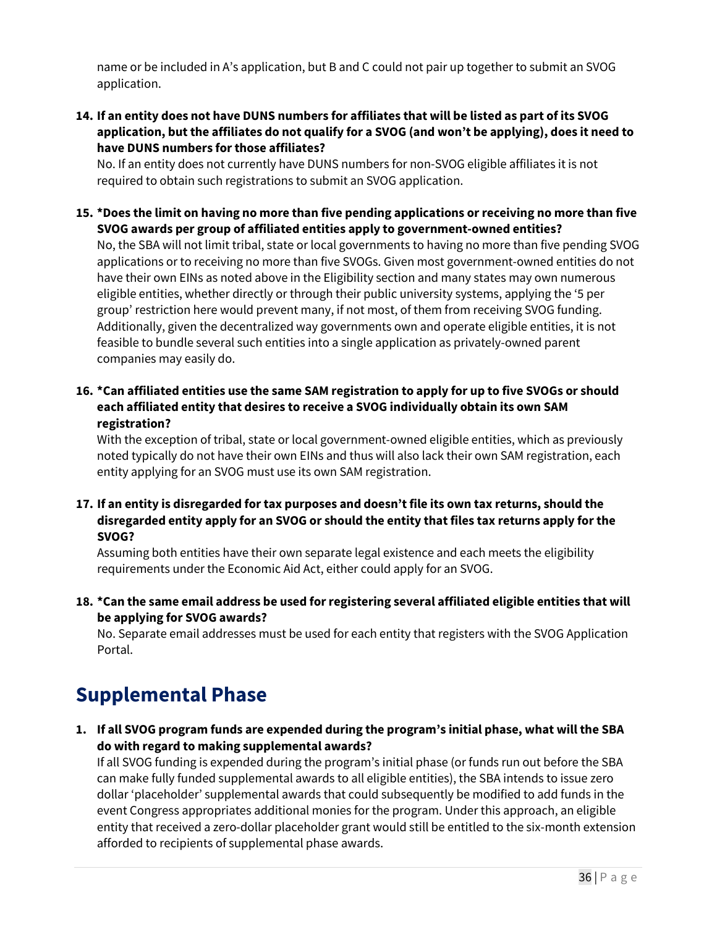name or be included in A's application, but B and C could not pair up together to submit an SVOG application.

**14. If an entity does not have DUNS numbers for affiliates that will be listed as part of its SVOG application, but the affiliates do not qualify for a SVOG (and won't be applying), does it need to have DUNS numbers for those affiliates?** 

No. If an entity does not currently have DUNS numbers for non-SVOG eligible affiliates it is not required to obtain such registrations to submit an SVOG application.

**15. \*Does the limit on having no more than five pending applications or receiving no more than five SVOG awards per group of affiliated entities apply to government-owned entities?** No, the SBA will not limit tribal, state or local governments to having no more than five pending SVOG applications or to receiving no more than five SVOGs. Given most government-owned entities do not have their own EINs as noted above in the Eligibility section and many states may own numerous eligible entities, whether directly or through their public university systems, applying the '5 per group' restriction here would prevent many, if not most, of them from receiving SVOG funding. Additionally, given the decentralized way governments own and operate eligible entities, it is not feasible to bundle several such entities into a single application as privately-owned parent

companies may easily do.

**16. \*Can affiliated entities use the same SAM registration to apply for up to five SVOGs or should each affiliated entity that desires to receive a SVOG individually obtain its own SAM registration?**

With the exception of tribal, state or local government-owned eligible entities, which as previously noted typically do not have their own EINs and thus will also lack their own SAM registration, each entity applying for an SVOG must use its own SAM registration.

**17. If an entity is disregarded for tax purposes and doesn't file its own tax returns, should the disregarded entity apply for an SVOG or should the entity that files tax returns apply for the SVOG?**

Assuming both entities have their own separate legal existence and each meets the eligibility requirements under the Economic Aid Act, either could apply for an SVOG.

**18. \*Can the same email address be used for registering several affiliated eligible entities that will be applying for SVOG awards?**

No. Separate email addresses must be used for each entity that registers with the SVOG Application Portal.

# **Supplemental Phase**

**1. If all SVOG program funds are expended during the program's initial phase, what will the SBA do with regard to making supplemental awards?**

If all SVOG funding is expended during the program's initial phase (or funds run out before the SBA can make fully funded supplemental awards to all eligible entities), the SBA intends to issue zero dollar 'placeholder' supplemental awards that could subsequently be modified to add funds in the event Congress appropriates additional monies for the program. Under this approach, an eligible entity that received a zero-dollar placeholder grant would still be entitled to the six-month extension afforded to recipients of supplemental phase awards.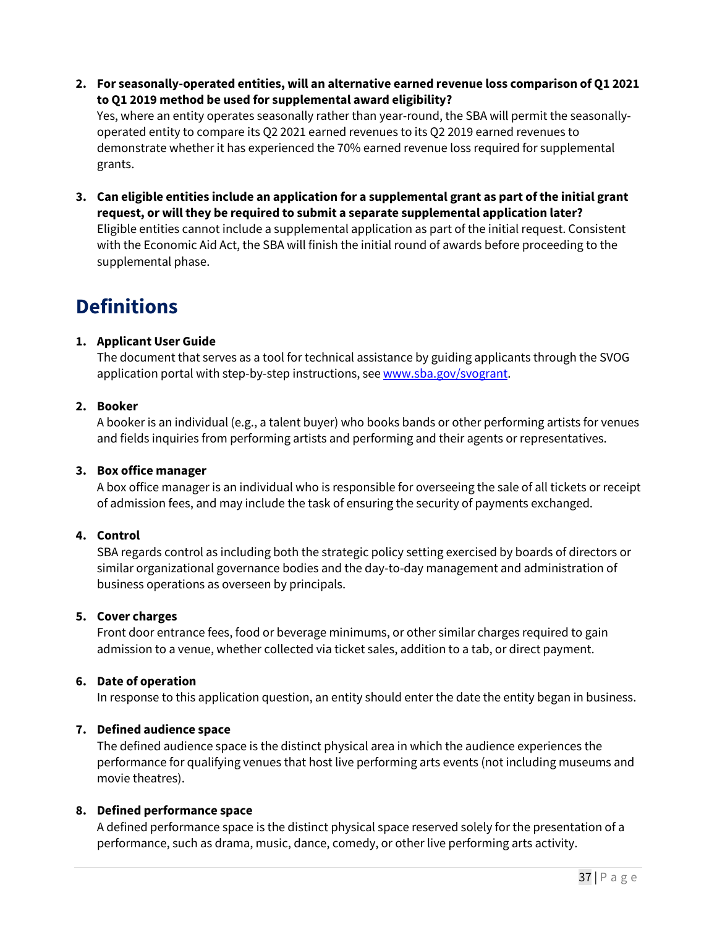**2. For seasonally-operated entities, will an alternative earned revenue loss comparison of Q1 2021 to Q1 2019 method be used for supplemental award eligibility?**

Yes, where an entity operates seasonally rather than year-round, the SBA will permit the seasonallyoperated entity to compare its Q2 2021 earned revenues to its Q2 2019 earned revenues to demonstrate whether it has experienced the 70% earned revenue loss required for supplemental grants.

**3. Can eligible entities include an application for a supplemental grant as part of the initial grant request, or will they be required to submit a separate supplemental application later?** Eligible entities cannot include a supplemental application as part of the initial request. Consistent with the Economic Aid Act, the SBA will finish the initial round of awards before proceeding to the supplemental phase.

# **Definitions**

# **1. Applicant User Guide**

The document that serves as a tool for technical assistance by guiding applicants through the SVOG application portal with step-by-step instructions, see www.sba.gov/svogrant.

# **2. Booker**

A booker is an individual (e.g., a talent buyer) who books bands or other performing artists for venues and fields inquiries from performing artists and performing and their agents or representatives.

#### **3. Box office manager**

A box office manager is an individual who is responsible for overseeing the sale of all tickets or receipt of admission fees, and may include the task of ensuring the security of payments exchanged.

# **4. Control**

SBA regards control as including both the strategic policy setting exercised by boards of directors or similar organizational governance bodies and the day-to-day management and administration of business operations as overseen by principals.

#### **5. Cover charges**

Front door entrance fees, food or beverage minimums, or other similar charges required to gain admission to a venue, whether collected via ticket sales, addition to a tab, or direct payment.

#### **6. Date of operation**

In response to this application question, an entity should enter the date the entity began in business.

#### **7. Defined audience space**

The defined audience space is the distinct physical area in which the audience experiences the performance for qualifying venues that host live performing arts events (not including museums and movie theatres).

#### **8. Defined performance space**

A defined performance space is the distinct physical space reserved solely for the presentation of a performance, such as drama, music, dance, comedy, or other live performing arts activity.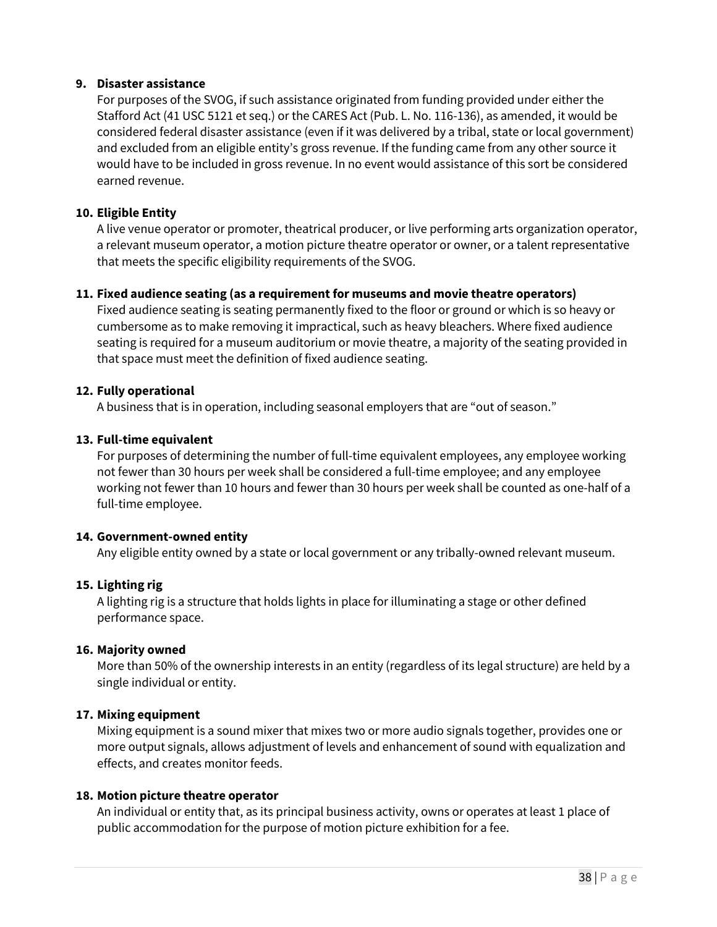### **9. Disaster assistance**

For purposes of the SVOG, if such assistance originated from funding provided under either the Stafford Act (41 USC 5121 et seq.) or the CARES Act (Pub. L. No. 116-136), as amended, it would be considered federal disaster assistance (even if it was delivered by a tribal, state or local government) and excluded from an eligible entity's gross revenue. If the funding came from any other source it would have to be included in gross revenue. In no event would assistance of this sort be considered earned revenue.

### **10. Eligible Entity**

A live venue operator or promoter, theatrical producer, or live performing arts organization operator, a relevant museum operator, a motion picture theatre operator or owner, or a talent representative that meets the specific eligibility requirements of the SVOG.

# **11. Fixed audience seating (as a requirement for museums and movie theatre operators)**

Fixed audience seating is seating permanently fixed to the floor or ground or which is so heavy or cumbersome as to make removing it impractical, such as heavy bleachers. Where fixed audience seating is required for a museum auditorium or movie theatre, a majority of the seating provided in that space must meet the definition of fixed audience seating.

# **12. Fully operational**

A business that is in operation, including seasonal employers that are "out of season."

# **13. Full-time equivalent**

For purposes of determining the number of full-time equivalent employees, any employee working not fewer than 30 hours per week shall be considered a full-time employee; and any employee working not fewer than 10 hours and fewer than 30 hours per week shall be counted as one-half of a full-time employee.

#### **14. Government-owned entity**

Any eligible entity owned by a state or local government or any tribally-owned relevant museum.

# **15. Lighting rig**

A lighting rig is a structure that holds lights in place for illuminating a stage or other defined performance space.

#### **16. Majority owned**

More than 50% of the ownership interests in an entity (regardless of its legal structure) are held by a single individual or entity.

# **17. Mixing equipment**

Mixing equipment is a sound mixer that mixes two or more audio signals together, provides one or more output signals, allows adjustment of levels and enhancement of sound with equalization and effects, and creates monitor feeds.

#### **18. Motion picture theatre operator**

An individual or entity that, as its principal business activity, owns or operates at least 1 place of public accommodation for the purpose of motion picture exhibition for a fee.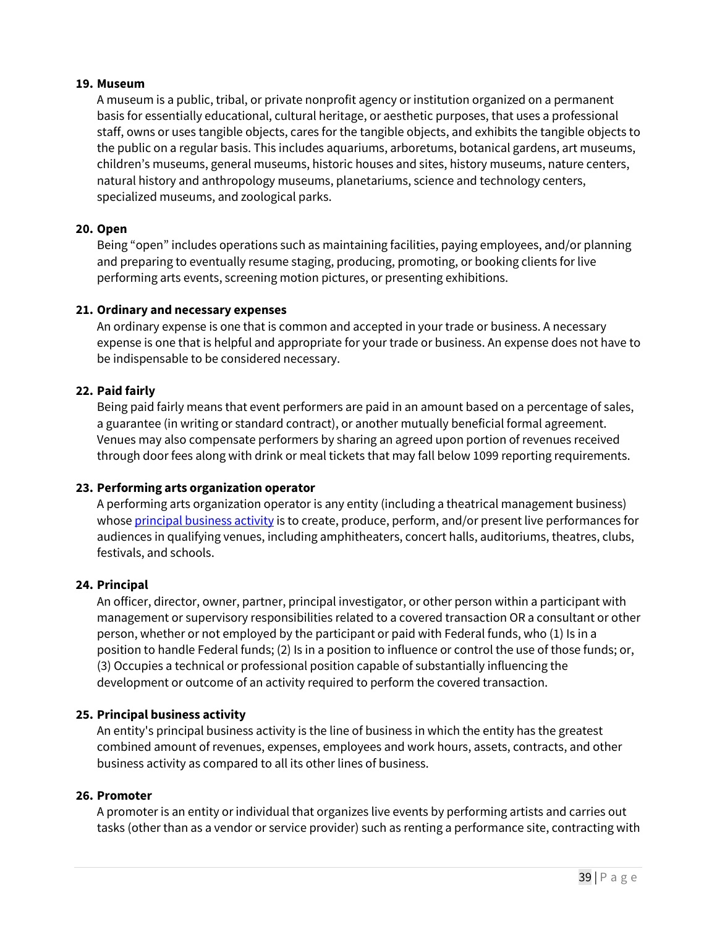#### **19. Museum**

A museum is a public, tribal, or private nonprofit agency or institution organized on a permanent basis for essentially educational, cultural heritage, or aesthetic purposes, that uses a professional staff, owns or uses tangible objects, cares for the tangible objects, and exhibits the tangible objects to the public on a regular basis. This includes aquariums, arboretums, botanical gardens, art museums, children's museums, general museums, historic houses and sites, history museums, nature centers, natural history and anthropology museums, planetariums, science and technology centers, specialized museums, and zoological parks.

#### **20. Open**

Being "open" includes operations such as maintaining facilities, paying employees, and/or planning and preparing to eventually resume staging, producing, promoting, or booking clients for live performing arts events, screening motion pictures, or presenting exhibitions.

#### **21. Ordinary and necessary expenses**

An ordinary expense is one that is common and accepted in your trade or business. A necessary expense is one that is helpful and appropriate for your trade or business. An expense does not have to be indispensable to be considered necessary.

#### **22. Paid fairly**

Being paid fairly means that event performers are paid in an amount based on a percentage of sales, a guarantee (in writing or standard contract), or another mutually beneficial formal agreement. Venues may also compensate performers by sharing an agreed upon portion of revenues received through door fees along with drink or meal tickets that may fall below 1099 reporting requirements.

#### **23. Performing arts organization operator**

A performing arts organization operator is any entity (including a theatrical management business) whose principal business activity is to create, produce, perform, and/or present live performances for audiences in qualifying venues, including amphitheaters, concert halls, auditoriums, theatres, clubs, festivals, and schools.

#### **24. Principal**

An officer, director, owner, partner, principal investigator, or other person within a participant with management or supervisory responsibilities related to a covered transaction OR a consultant or other person, whether or not employed by the participant or paid with Federal funds, who (1) Is in a position to handle Federal funds; (2) Is in a position to influence or control the use of those funds; or, (3) Occupies a technical or professional position capable of substantially influencing the development or outcome of an activity required to perform the covered transaction.

#### **25. Principal business activity**

An entity's principal business activity is the line of business in which the entity has the greatest combined amount of revenues, expenses, employees and work hours, assets, contracts, and other business activity as compared to all its other lines of business.

#### **26. Promoter**

A promoter is an entity or individual that organizes live events by performing artists and carries out tasks (other than as a vendor or service provider) such as renting a performance site, contracting with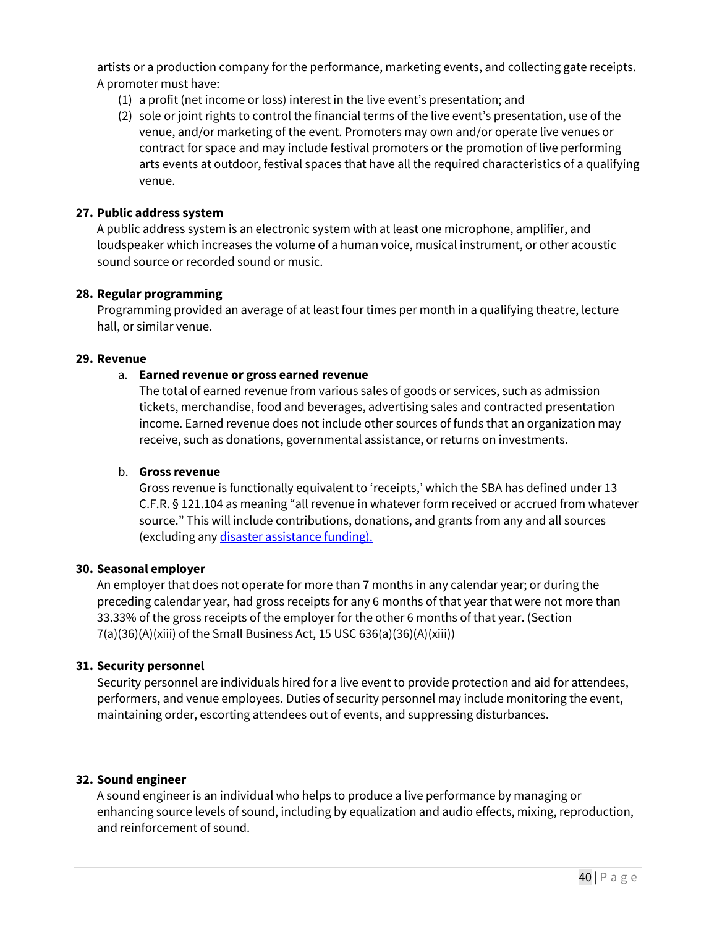artists or a production company for the performance, marketing events, and collecting gate receipts. A promoter must have:

- (1) a profit (net income or loss) interest in the live event's presentation; and
- (2) sole or joint rights to control the financial terms of the live event's presentation, use of the venue, and/or marketing of the event. Promoters may own and/or operate live venues or contract for space and may include festival promoters or the promotion of live performing arts events at outdoor, festival spaces that have all the required characteristics of a qualifying venue.

#### **27. Public address system**

A public address system is an electronic system with at least one microphone, amplifier, and loudspeaker which increases the volume of a human voice, musical instrument, or other acoustic sound source or recorded sound or music.

#### **28. Regular programming**

Programming provided an average of at least four times per month in a qualifying theatre, lecture hall, or similar venue.

#### **29. Revenue**

#### a. **Earned revenue or gross earned revenue**

The total of earned revenue from various sales of goods or services, such as admission tickets, merchandise, food and beverages, advertising sales and contracted presentation income. Earned revenue does not include other sources of funds that an organization may receive, such as donations, governmental assistance, or returns on investments.

#### b. **Gross revenue**

Gross revenue is functionally equivalent to 'receipts,' which the SBA has defined under 13 C.F.R. § 121.104 as meaning "all revenue in whatever form received or accrued from whatever source." This will include contributions, donations, and grants from any and all sources (excluding any disaster assistance funding).

#### **30. Seasonal employer**

An employer that does not operate for more than 7 months in any calendar year; or during the preceding calendar year, had gross receipts for any 6 months of that year that were not more than 33.33% of the gross receipts of the employer for the other 6 months of that year. (Section 7(a)(36)(A)(xiii) of the Small Business Act, 15 USC 636(a)(36)(A)(xiii))

#### **31. Security personnel**

Security personnel are individuals hired for a live event to provide protection and aid for attendees, performers, and venue employees. Duties of security personnel may include monitoring the event, maintaining order, escorting attendees out of events, and suppressing disturbances.

#### **32. Sound engineer**

A sound engineer is an individual who helps to produce a live performance by managing or enhancing source levels of sound, including by equalization and audio effects, mixing, reproduction, and reinforcement of sound.